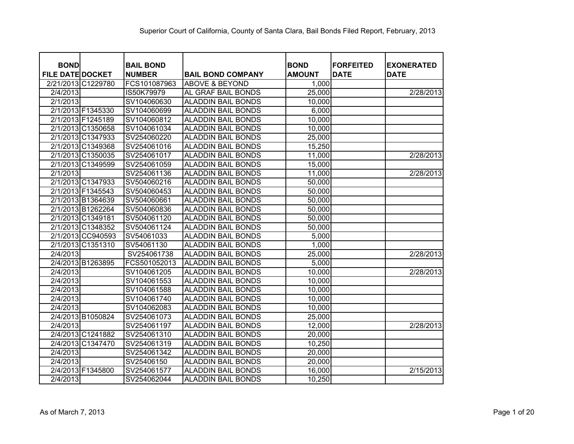| <b>BOND</b>             | <b>BAIL BOND</b> |                           | <b>BOND</b>   | <b>FORFEITED</b> | <b>EXONERATED</b> |
|-------------------------|------------------|---------------------------|---------------|------------------|-------------------|
| <b>FILE DATE DOCKET</b> | <b>NUMBER</b>    | <b>BAIL BOND COMPANY</b>  | <b>AMOUNT</b> | <b>DATE</b>      | <b>DATE</b>       |
| 2/21/2013 C1229780      | FCS101087963     | <b>ABOVE &amp; BEYOND</b> | 1,000         |                  |                   |
| 2/4/2013                | IS50K79979       | AL GRAF BAIL BONDS        | 25,000        |                  | 2/28/2013         |
| 2/1/2013                | SV104060630      | <b>ALADDIN BAIL BONDS</b> | 10,000        |                  |                   |
| 2/1/2013 F1345330       | SV104060699      | <b>ALADDIN BAIL BONDS</b> | 6,000         |                  |                   |
| 2/1/2013 F1245189       | SV104060812      | <b>ALADDIN BAIL BONDS</b> | 10,000        |                  |                   |
| 2/1/2013 C1350658       | SV104061034      | <b>ALADDIN BAIL BONDS</b> | 10,000        |                  |                   |
| 2/1/2013 C1347933       | SV254060220      | <b>ALADDIN BAIL BONDS</b> | 25,000        |                  |                   |
| 2/1/2013 C1349368       | SV254061016      | <b>ALADDIN BAIL BONDS</b> | 15,250        |                  |                   |
| 2/1/2013 C1350035       | SV254061017      | <b>ALADDIN BAIL BONDS</b> | 11,000        |                  | 2/28/2013         |
| 2/1/2013 C1349599       | SV254061059      | <b>ALADDIN BAIL BONDS</b> | 15,000        |                  |                   |
| 2/1/2013                | SV254061136      | <b>ALADDIN BAIL BONDS</b> | 11,000        |                  | 2/28/2013         |
| 2/1/2013 C1347933       | SV504060216      | <b>ALADDIN BAIL BONDS</b> | 50,000        |                  |                   |
| 2/1/2013 F1345543       | SV504060453      | <b>ALADDIN BAIL BONDS</b> | 50,000        |                  |                   |
| 2/1/2013 B1364639       | SV504060661      | <b>ALADDIN BAIL BONDS</b> | 50,000        |                  |                   |
| 2/1/2013 B1262264       | SV504060836      | <b>ALADDIN BAIL BONDS</b> | 50,000        |                  |                   |
| 2/1/2013 C1349181       | SV504061120      | <b>ALADDIN BAIL BONDS</b> | 50,000        |                  |                   |
| 2/1/2013 C1348352       | SV504061124      | <b>ALADDIN BAIL BONDS</b> | 50,000        |                  |                   |
| 2/1/2013 CC940593       | SV54061033       | <b>ALADDIN BAIL BONDS</b> | 5,000         |                  |                   |
| 2/1/2013 C1351310       | SV54061130       | <b>ALADDIN BAIL BONDS</b> | 1,000         |                  |                   |
| 2/4/2013                | SV254061738      | <b>ALADDIN BAIL BONDS</b> | 25,000        |                  | 2/28/2013         |
| 2/4/2013 B1263895       | FCS501052013     | <b>ALADDIN BAIL BONDS</b> | 5,000         |                  |                   |
| 2/4/2013                | SV104061205      | <b>ALADDIN BAIL BONDS</b> | 10,000        |                  | 2/28/2013         |
| 2/4/2013                | SV104061553      | <b>ALADDIN BAIL BONDS</b> | 10,000        |                  |                   |
| 2/4/2013                | SV104061588      | <b>ALADDIN BAIL BONDS</b> | 10,000        |                  |                   |
| 2/4/2013                | SV104061740      | <b>ALADDIN BAIL BONDS</b> | 10,000        |                  |                   |
| 2/4/2013                | SV104062083      | <b>ALADDIN BAIL BONDS</b> | 10,000        |                  |                   |
| 2/4/2013 B1050824       | SV254061073      | <b>ALADDIN BAIL BONDS</b> | 25,000        |                  |                   |
| 2/4/2013                | SV254061197      | <b>ALADDIN BAIL BONDS</b> | 12,000        |                  | 2/28/2013         |
| 2/4/2013 C1241882       | SV254061310      | <b>ALADDIN BAIL BONDS</b> | 20,000        |                  |                   |
| 2/4/2013 C1347470       | SV254061319      | <b>ALADDIN BAIL BONDS</b> | 10,250        |                  |                   |
| 2/4/2013                | SV254061342      | <b>ALADDIN BAIL BONDS</b> | 20,000        |                  |                   |
| 2/4/2013                | SV25406150       | <b>ALADDIN BAIL BONDS</b> | 20,000        |                  |                   |
| 2/4/2013 F1345800       | SV254061577      | <b>ALADDIN BAIL BONDS</b> | 16,000        |                  | 2/15/2013         |
| 2/4/2013                | SV254062044      | <b>ALADDIN BAIL BONDS</b> | 10,250        |                  |                   |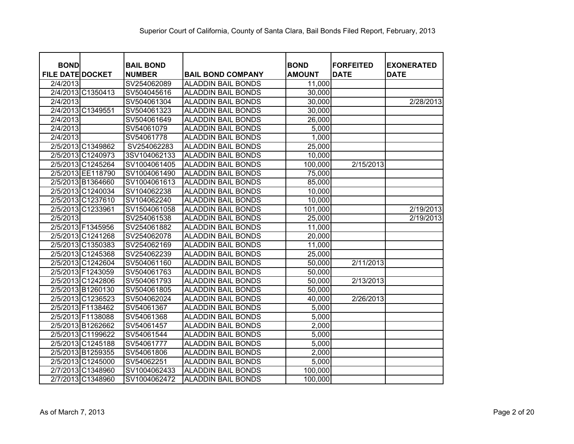| <b>BOND</b>             | <b>BAIL BOND</b> |                           | <b>BOND</b>   | <b>FORFEITED</b> |                                  |
|-------------------------|------------------|---------------------------|---------------|------------------|----------------------------------|
| <b>FILE DATE DOCKET</b> | <b>NUMBER</b>    | <b>BAIL BOND COMPANY</b>  | <b>AMOUNT</b> | <b>DATE</b>      | <b>EXONERATED</b><br><b>DATE</b> |
| 2/4/2013                | SV254062089      | <b>ALADDIN BAIL BONDS</b> | 11,000        |                  |                                  |
| 2/4/2013 C1350413       | SV504045616      | <b>ALADDIN BAIL BONDS</b> | 30,000        |                  |                                  |
| 2/4/2013                | SV504061304      | <b>ALADDIN BAIL BONDS</b> | 30,000        |                  | 2/28/2013                        |
| 2/4/2013 C1349551       | SV504061323      | <b>ALADDIN BAIL BONDS</b> | 30,000        |                  |                                  |
| 2/4/2013                | SV504061649      | <b>ALADDIN BAIL BONDS</b> | 26,000        |                  |                                  |
| 2/4/2013                | SV54061079       | <b>ALADDIN BAIL BONDS</b> | 5,000         |                  |                                  |
| 2/4/2013                | SV54061778       | <b>ALADDIN BAIL BONDS</b> | 1,000         |                  |                                  |
| 2/5/2013 C1349862       | SV254062283      | <b>ALADDIN BAIL BONDS</b> | 25,000        |                  |                                  |
| 2/5/2013 C1240973       | 3SV104062133     | <b>ALADDIN BAIL BONDS</b> | 10,000        |                  |                                  |
| 2/5/2013 C1245264       | SV1004061405     | <b>ALADDIN BAIL BONDS</b> | 100,000       | 2/15/2013        |                                  |
| 2/5/2013 EE118790       | SV1004061490     | <b>ALADDIN BAIL BONDS</b> | 75,000        |                  |                                  |
| 2/5/2013 B1364660       | SV1004061613     | <b>ALADDIN BAIL BONDS</b> | 85,000        |                  |                                  |
| 2/5/2013 C1240034       | SV104062238      | <b>ALADDIN BAIL BONDS</b> | 10,000        |                  |                                  |
| 2/5/2013 C1237610       | SV104062240      | <b>ALADDIN BAIL BONDS</b> | 10,000        |                  |                                  |
| 2/5/2013 C1233961       | SV1504061058     | <b>ALADDIN BAIL BONDS</b> | 101,000       |                  | 2/19/2013                        |
| 2/5/2013                | SV254061538      | <b>ALADDIN BAIL BONDS</b> | 25,000        |                  | $\overline{2/19/2013}$           |
| 2/5/2013 F1345956       | SV254061882      | <b>ALADDIN BAIL BONDS</b> | 11,000        |                  |                                  |
| 2/5/2013 C1241268       | SV254062078      | <b>ALADDIN BAIL BONDS</b> | 20,000        |                  |                                  |
| 2/5/2013 C1350383       | SV254062169      | <b>ALADDIN BAIL BONDS</b> | 11,000        |                  |                                  |
| 2/5/2013 C1245368       | SV254062239      | <b>ALADDIN BAIL BONDS</b> | 25,000        |                  |                                  |
| 2/5/2013 C1242604       | SV504061160      | <b>ALADDIN BAIL BONDS</b> | 50,000        | 2/11/2013        |                                  |
| 2/5/2013 F1243059       | SV504061763      | <b>ALADDIN BAIL BONDS</b> | 50,000        |                  |                                  |
| 2/5/2013 C1242806       | SV504061793      | <b>ALADDIN BAIL BONDS</b> | 50,000        | 2/13/2013        |                                  |
| 2/5/2013 B1260130       | SV504061805      | <b>ALADDIN BAIL BONDS</b> | 50,000        |                  |                                  |
| 2/5/2013 C1236523       | SV504062024      | <b>ALADDIN BAIL BONDS</b> | 40,000        | 2/26/2013        |                                  |
| 2/5/2013 F1138462       | SV54061367       | <b>ALADDIN BAIL BONDS</b> | 5,000         |                  |                                  |
| 2/5/2013 F1138088       | SV54061368       | <b>ALADDIN BAIL BONDS</b> | 5,000         |                  |                                  |
| 2/5/2013 B1262662       | SV54061457       | <b>ALADDIN BAIL BONDS</b> | 2,000         |                  |                                  |
| 2/5/2013 C1199622       | SV54061544       | <b>ALADDIN BAIL BONDS</b> | 5,000         |                  |                                  |
| 2/5/2013 C1245188       | SV54061777       | <b>ALADDIN BAIL BONDS</b> | 5,000         |                  |                                  |
| 2/5/2013 B1259355       | SV54061806       | <b>ALADDIN BAIL BONDS</b> | 2,000         |                  |                                  |
| 2/5/2013 C1245000       | SV54062251       | <b>ALADDIN BAIL BONDS</b> | 5,000         |                  |                                  |
| 2/7/2013 C1348960       | SV1004062433     | <b>ALADDIN BAIL BONDS</b> | 100,000       |                  |                                  |
| 2/7/2013 C1348960       | SV1004062472     | <b>ALADDIN BAIL BONDS</b> | 100,000       |                  |                                  |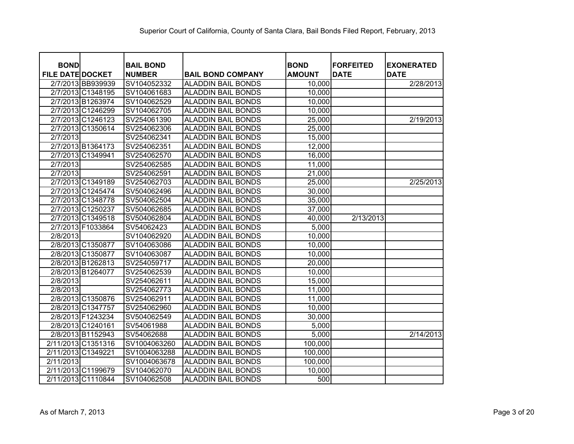| <b>BOND</b>             | <b>BAIL BOND</b> |                           | <b>BOND</b>   | <b>FORFEITED</b> | <b>EXONERATED</b> |
|-------------------------|------------------|---------------------------|---------------|------------------|-------------------|
| <b>FILE DATE DOCKET</b> | <b>NUMBER</b>    | <b>BAIL BOND COMPANY</b>  | <b>AMOUNT</b> | <b>DATE</b>      | <b>DATE</b>       |
| 2/7/2013 BB939939       | SV104052332      | <b>ALADDIN BAIL BONDS</b> | 10,000        |                  | 2/28/2013         |
| 2/7/2013 C1348195       | SV104061683      | <b>ALADDIN BAIL BONDS</b> | 10,000        |                  |                   |
| 2/7/2013 B1263974       | SV104062529      | <b>ALADDIN BAIL BONDS</b> | 10,000        |                  |                   |
| 2/7/2013 C1246299       | SV104062705      | <b>ALADDIN BAIL BONDS</b> | 10,000        |                  |                   |
| 2/7/2013 C1246123       | SV254061390      | <b>ALADDIN BAIL BONDS</b> | 25,000        |                  | 2/19/2013         |
| 2/7/2013 C1350614       | SV254062306      | <b>ALADDIN BAIL BONDS</b> | 25,000        |                  |                   |
| 2/7/2013                | SV254062341      | <b>ALADDIN BAIL BONDS</b> | 15,000        |                  |                   |
| 2/7/2013 B1364173       | SV254062351      | <b>ALADDIN BAIL BONDS</b> | 12,000        |                  |                   |
| 2/7/2013 C1349941       | SV254062570      | <b>ALADDIN BAIL BONDS</b> | 16,000        |                  |                   |
| 2/7/2013                | SV254062585      | <b>ALADDIN BAIL BONDS</b> | 11,000        |                  |                   |
| 2/7/2013                | SV254062591      | <b>ALADDIN BAIL BONDS</b> | 21,000        |                  |                   |
| 2/7/2013 C1349189       | SV254062703      | <b>ALADDIN BAIL BONDS</b> | 25,000        |                  | 2/25/2013         |
| 2/7/2013 C1245474       | SV504062496      | <b>ALADDIN BAIL BONDS</b> | 30,000        |                  |                   |
| 2/7/2013 C1348778       | SV504062504      | <b>ALADDIN BAIL BONDS</b> | 35,000        |                  |                   |
| 2/7/2013 C1250237       | SV504062685      | <b>ALADDIN BAIL BONDS</b> | 37,000        |                  |                   |
| 2/7/2013 C1349518       | SV504062804      | <b>ALADDIN BAIL BONDS</b> | 40,000        | 2/13/2013        |                   |
| 2/7/2013 F1033864       | SV54062423       | <b>ALADDIN BAIL BONDS</b> | 5,000         |                  |                   |
| 2/8/2013                | SV104062920      | <b>ALADDIN BAIL BONDS</b> | 10,000        |                  |                   |
| 2/8/2013 C1350877       | SV104063086      | <b>ALADDIN BAIL BONDS</b> | 10,000        |                  |                   |
| 2/8/2013 C1350877       | SV104063087      | <b>ALADDIN BAIL BONDS</b> | 10,000        |                  |                   |
| 2/8/2013 B1262813       | SV254059717      | <b>ALADDIN BAIL BONDS</b> | 20,000        |                  |                   |
| 2/8/2013 B1264077       | SV254062539      | <b>ALADDIN BAIL BONDS</b> | 10,000        |                  |                   |
| 2/8/2013                | SV254062611      | <b>ALADDIN BAIL BONDS</b> | 15,000        |                  |                   |
| 2/8/2013                | SV254062773      | <b>ALADDIN BAIL BONDS</b> | 11,000        |                  |                   |
| 2/8/2013 C1350876       | SV254062911      | <b>ALADDIN BAIL BONDS</b> | 11,000        |                  |                   |
| 2/8/2013 C1347757       | SV254062960      | <b>ALADDIN BAIL BONDS</b> | 10,000        |                  |                   |
| 2/8/2013 F1243234       | SV504062549      | <b>ALADDIN BAIL BONDS</b> | 30,000        |                  |                   |
| 2/8/2013 C1240161       | SV54061988       | <b>ALADDIN BAIL BONDS</b> | 5,000         |                  |                   |
| 2/8/2013 B1152943       | SV54062688       | <b>ALADDIN BAIL BONDS</b> | 5,000         |                  | 2/14/2013         |
| 2/11/2013 C1351316      | SV1004063260     | <b>ALADDIN BAIL BONDS</b> | 100,000       |                  |                   |
| 2/11/2013 C1349221      | SV1004063288     | <b>ALADDIN BAIL BONDS</b> | 100,000       |                  |                   |
| 2/11/2013               | SV1004063678     | <b>ALADDIN BAIL BONDS</b> | 100,000       |                  |                   |
| 2/11/2013 C1199679      | SV104062070      | <b>ALADDIN BAIL BONDS</b> | 10,000        |                  |                   |
| 2/11/2013 C1110844      | SV104062508      | <b>ALADDIN BAIL BONDS</b> | 500           |                  |                   |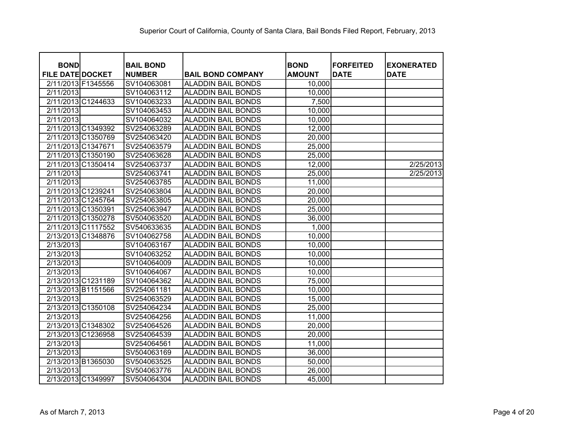| <b>BOND</b><br><b>FILE DATE DOCKET</b> | <b>BAIL BOND</b><br><b>NUMBER</b> | <b>BAIL BOND COMPANY</b>  | <b>BOND</b><br><b>AMOUNT</b> | <b>FORFEITED</b><br><b>DATE</b> | <b>EXONERATED</b><br><b>DATE</b> |
|----------------------------------------|-----------------------------------|---------------------------|------------------------------|---------------------------------|----------------------------------|
| 2/11/2013 F1345556                     | SV104063081                       | <b>ALADDIN BAIL BONDS</b> | 10,000                       |                                 |                                  |
| 2/11/2013                              | SV104063112                       | <b>ALADDIN BAIL BONDS</b> | 10,000                       |                                 |                                  |
| 2/11/2013 C1244633                     | SV104063233                       | <b>ALADDIN BAIL BONDS</b> | 7,500                        |                                 |                                  |
| 2/11/2013                              | SV104063453                       | <b>ALADDIN BAIL BONDS</b> | 10,000                       |                                 |                                  |
| 2/11/2013                              | SV104064032                       | <b>ALADDIN BAIL BONDS</b> | 10,000                       |                                 |                                  |
| 2/11/2013 C1349392                     | SV254063289                       | <b>ALADDIN BAIL BONDS</b> | 12,000                       |                                 |                                  |
| 2/11/2013 C1350769                     | SV254063420                       | <b>ALADDIN BAIL BONDS</b> | 20,000                       |                                 |                                  |
| 2/11/2013 C1347671                     | SV254063579                       | <b>ALADDIN BAIL BONDS</b> | 25,000                       |                                 |                                  |
| 2/11/2013 C1350190                     | SV254063628                       | <b>ALADDIN BAIL BONDS</b> | 25,000                       |                                 |                                  |
| 2/11/2013 C1350414                     | SV254063737                       | <b>ALADDIN BAIL BONDS</b> | 12,000                       |                                 | 2/25/2013                        |
| 2/11/2013                              | SV254063741                       | <b>ALADDIN BAIL BONDS</b> | 25,000                       |                                 | 2/25/2013                        |
| 2/11/2013                              | SV254063785                       | <b>ALADDIN BAIL BONDS</b> | 11,000                       |                                 |                                  |
| 2/11/2013 C1239241                     | SV254063804                       | <b>ALADDIN BAIL BONDS</b> | 20,000                       |                                 |                                  |
| 2/11/2013 C1245764                     | SV254063805                       | <b>ALADDIN BAIL BONDS</b> | 20,000                       |                                 |                                  |
| 2/11/2013 C1350391                     | SV254063947                       | <b>ALADDIN BAIL BONDS</b> | 25,000                       |                                 |                                  |
| 2/11/2013 C1350278                     | SV504063520                       | <b>ALADDIN BAIL BONDS</b> | 36,000                       |                                 |                                  |
| 2/11/2013 C1117552                     | SV540633635                       | <b>ALADDIN BAIL BONDS</b> | 1,000                        |                                 |                                  |
| 2/13/2013 C1348876                     | SV104062758                       | <b>ALADDIN BAIL BONDS</b> | 10,000                       |                                 |                                  |
| 2/13/2013                              | SV104063167                       | <b>ALADDIN BAIL BONDS</b> | 10,000                       |                                 |                                  |
| 2/13/2013                              | SV104063252                       | <b>ALADDIN BAIL BONDS</b> | 10,000                       |                                 |                                  |
| 2/13/2013                              | SV104064009                       | <b>ALADDIN BAIL BONDS</b> | 10,000                       |                                 |                                  |
| 2/13/2013                              | SV104064067                       | <b>ALADDIN BAIL BONDS</b> | 10,000                       |                                 |                                  |
| 2/13/2013 C1231189                     | SV104064362                       | <b>ALADDIN BAIL BONDS</b> | 75,000                       |                                 |                                  |
| 2/13/2013 B1151566                     | SV254061181                       | <b>ALADDIN BAIL BONDS</b> | 10,000                       |                                 |                                  |
| 2/13/2013                              | SV254063529                       | <b>ALADDIN BAIL BONDS</b> | 15,000                       |                                 |                                  |
| 2/13/2013 C1350108                     | SV254064234                       | <b>ALADDIN BAIL BONDS</b> | 25,000                       |                                 |                                  |
| 2/13/2013                              | SV254064256                       | <b>ALADDIN BAIL BONDS</b> | 11,000                       |                                 |                                  |
| 2/13/2013 C1348302                     | SV254064526                       | <b>ALADDIN BAIL BONDS</b> | 20,000                       |                                 |                                  |
| 2/13/2013 C1236958                     | SV254064539                       | <b>ALADDIN BAIL BONDS</b> | 20,000                       |                                 |                                  |
| 2/13/2013                              | SV254064561                       | <b>ALADDIN BAIL BONDS</b> | 11,000                       |                                 |                                  |
| 2/13/2013                              | SV504063169                       | <b>ALADDIN BAIL BONDS</b> | 36,000                       |                                 |                                  |
| 2/13/2013 B1365030                     | SV504063525                       | <b>ALADDIN BAIL BONDS</b> | 50,000                       |                                 |                                  |
| 2/13/2013                              | SV504063776                       | <b>ALADDIN BAIL BONDS</b> | 26,000                       |                                 |                                  |
| 2/13/2013 C1349997                     | SV504064304                       | <b>ALADDIN BAIL BONDS</b> | 45,000                       |                                 |                                  |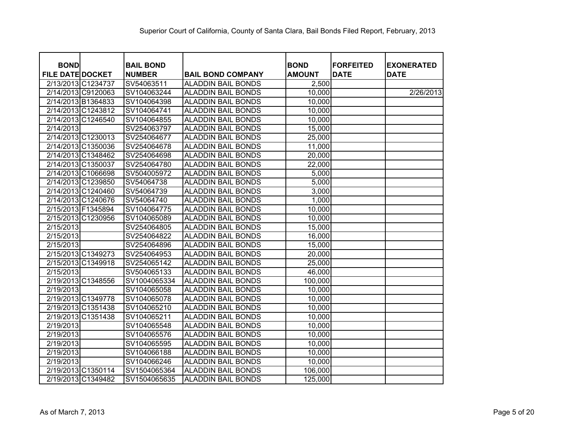| <b>BOND</b>             |                    | <b>BAIL BOND</b> |                           | <b>BOND</b>   | <b>FORFEITED</b> | <b>EXONERATED</b> |
|-------------------------|--------------------|------------------|---------------------------|---------------|------------------|-------------------|
| <b>FILE DATE DOCKET</b> |                    | <b>NUMBER</b>    | <b>BAIL BOND COMPANY</b>  | <b>AMOUNT</b> | <b>DATE</b>      | <b>DATE</b>       |
| 2/13/2013 C1234737      |                    | SV54063511       | <b>ALADDIN BAIL BONDS</b> | 2,500         |                  |                   |
|                         | 2/14/2013 C9120063 | SV104063244      | <b>ALADDIN BAIL BONDS</b> | 10,000        |                  | 2/26/2013         |
|                         | 2/14/2013 B1364833 | SV104064398      | <b>ALADDIN BAIL BONDS</b> | 10,000        |                  |                   |
|                         | 2/14/2013 C1243812 | SV104064741      | <b>ALADDIN BAIL BONDS</b> | 10,000        |                  |                   |
|                         | 2/14/2013 C1246540 | SV104064855      | <b>ALADDIN BAIL BONDS</b> | 10,000        |                  |                   |
| 2/14/2013               |                    | SV254063797      | <b>ALADDIN BAIL BONDS</b> | 15,000        |                  |                   |
|                         | 2/14/2013 C1230013 | SV254064677      | <b>ALADDIN BAIL BONDS</b> | 25,000        |                  |                   |
|                         | 2/14/2013 C1350036 | SV254064678      | <b>ALADDIN BAIL BONDS</b> | 11,000        |                  |                   |
|                         | 2/14/2013 C1348462 | SV254064698      | <b>ALADDIN BAIL BONDS</b> | 20,000        |                  |                   |
|                         | 2/14/2013 C1350037 | SV254064780      | <b>ALADDIN BAIL BONDS</b> | 22,000        |                  |                   |
|                         | 2/14/2013 C1066698 | SV504005972      | <b>ALADDIN BAIL BONDS</b> | 5,000         |                  |                   |
|                         | 2/14/2013 C1239850 | SV54064738       | <b>ALADDIN BAIL BONDS</b> | 5,000         |                  |                   |
|                         | 2/14/2013 C1240460 | SV54064739       | <b>ALADDIN BAIL BONDS</b> | 3,000         |                  |                   |
|                         | 2/14/2013 C1240676 | SV54064740       | <b>ALADDIN BAIL BONDS</b> | 1,000         |                  |                   |
| 2/15/2013 F1345894      |                    | SV104064775      | <b>ALADDIN BAIL BONDS</b> | 10,000        |                  |                   |
|                         | 2/15/2013 C1230956 | SV104065089      | <b>ALADDIN BAIL BONDS</b> | 10,000        |                  |                   |
| 2/15/2013               |                    | SV254064805      | <b>ALADDIN BAIL BONDS</b> | 15,000        |                  |                   |
| 2/15/2013               |                    | SV254064822      | <b>ALADDIN BAIL BONDS</b> | 16,000        |                  |                   |
| 2/15/2013               |                    | SV254064896      | <b>ALADDIN BAIL BONDS</b> | 15,000        |                  |                   |
|                         | 2/15/2013 C1349273 | SV254064953      | <b>ALADDIN BAIL BONDS</b> | 20,000        |                  |                   |
|                         | 2/15/2013 C1349918 | SV254065142      | <b>ALADDIN BAIL BONDS</b> | 25,000        |                  |                   |
| 2/15/2013               |                    | SV504065133      | <b>ALADDIN BAIL BONDS</b> | 46,000        |                  |                   |
|                         | 2/19/2013 C1348556 | SV1004065334     | <b>ALADDIN BAIL BONDS</b> | 100,000       |                  |                   |
| 2/19/2013               |                    | SV104065058      | <b>ALADDIN BAIL BONDS</b> | 10,000        |                  |                   |
|                         | 2/19/2013 C1349778 | SV104065078      | <b>ALADDIN BAIL BONDS</b> | 10,000        |                  |                   |
|                         | 2/19/2013 C1351438 | SV104065210      | <b>ALADDIN BAIL BONDS</b> | 10,000        |                  |                   |
|                         | 2/19/2013 C1351438 | SV104065211      | <b>ALADDIN BAIL BONDS</b> | 10,000        |                  |                   |
| 2/19/2013               |                    | SV104065548      | <b>ALADDIN BAIL BONDS</b> | 10,000        |                  |                   |
| 2/19/2013               |                    | SV104065576      | <b>ALADDIN BAIL BONDS</b> | 10,000        |                  |                   |
| 2/19/2013               |                    | SV104065595      | <b>ALADDIN BAIL BONDS</b> | 10,000        |                  |                   |
| 2/19/2013               |                    | SV104066188      | <b>ALADDIN BAIL BONDS</b> | 10,000        |                  |                   |
| 2/19/2013               |                    | SV104066246      | <b>ALADDIN BAIL BONDS</b> | 10,000        |                  |                   |
|                         | 2/19/2013 C1350114 | SV1504065364     | <b>ALADDIN BAIL BONDS</b> | 106,000       |                  |                   |
|                         | 2/19/2013 C1349482 | SV1504065635     | <b>ALADDIN BAIL BONDS</b> | 125,000       |                  |                   |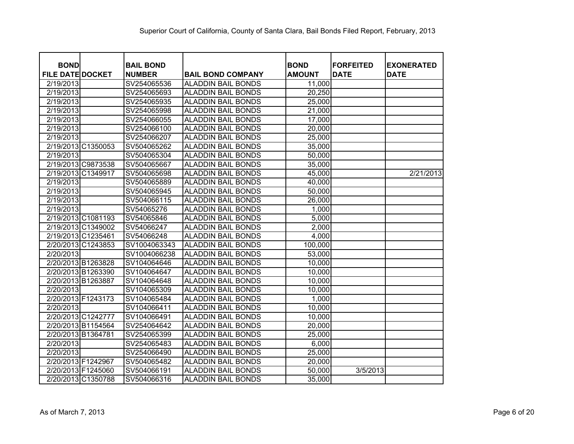| <b>BOND</b>             | <b>BAIL BOND</b> |                           | <b>BOND</b>   | <b>FORFEITED</b> | <b>EXONERATED</b> |
|-------------------------|------------------|---------------------------|---------------|------------------|-------------------|
| <b>FILE DATE DOCKET</b> | <b>NUMBER</b>    | <b>BAIL BOND COMPANY</b>  | <b>AMOUNT</b> | <b>DATE</b>      | <b>DATE</b>       |
| 2/19/2013               | SV254065536      | <b>ALADDIN BAIL BONDS</b> | 11,000        |                  |                   |
| 2/19/2013               | SV254065693      | <b>ALADDIN BAIL BONDS</b> | 20,250        |                  |                   |
| 2/19/2013               | SV254065935      | <b>ALADDIN BAIL BONDS</b> | 25,000        |                  |                   |
| 2/19/2013               | SV254065998      | <b>ALADDIN BAIL BONDS</b> | 21,000        |                  |                   |
| 2/19/2013               | SV254066055      | <b>ALADDIN BAIL BONDS</b> | 17,000        |                  |                   |
| 2/19/2013               | SV254066100      | <b>ALADDIN BAIL BONDS</b> | 20,000        |                  |                   |
| 2/19/2013               | SV254066207      | <b>ALADDIN BAIL BONDS</b> | 25,000        |                  |                   |
| 2/19/2013 C1350053      | SV504065262      | <b>ALADDIN BAIL BONDS</b> | 35,000        |                  |                   |
| 2/19/2013               | SV504065304      | <b>ALADDIN BAIL BONDS</b> | 50,000        |                  |                   |
| 2/19/2013 C9873538      | SV504065667      | <b>ALADDIN BAIL BONDS</b> | 35,000        |                  |                   |
| 2/19/2013 C1349917      | SV504065698      | <b>ALADDIN BAIL BONDS</b> | 45,000        |                  | 2/21/2013         |
| 2/19/2013               | SV504065889      | <b>ALADDIN BAIL BONDS</b> | 40,000        |                  |                   |
| 2/19/2013               | SV504065945      | <b>ALADDIN BAIL BONDS</b> | 50,000        |                  |                   |
| 2/19/2013               | SV504066115      | <b>ALADDIN BAIL BONDS</b> | 26,000        |                  |                   |
| 2/19/2013               | SV54065276       | <b>ALADDIN BAIL BONDS</b> | 1,000         |                  |                   |
| 2/19/2013 C1081193      | SV54065846       | <b>ALADDIN BAIL BONDS</b> | 5,000         |                  |                   |
| 2/19/2013 C1349002      | SV54066247       | <b>ALADDIN BAIL BONDS</b> | 2,000         |                  |                   |
| 2/19/2013 C1235461      | SV54066248       | <b>ALADDIN BAIL BONDS</b> | 4,000         |                  |                   |
| 2/20/2013 C1243853      | SV1004063343     | <b>ALADDIN BAIL BONDS</b> | 100,000       |                  |                   |
| 2/20/2013               | SV1004066238     | <b>ALADDIN BAIL BONDS</b> | 53,000        |                  |                   |
| 2/20/2013 B1263828      | SV104064646      | <b>ALADDIN BAIL BONDS</b> | 10,000        |                  |                   |
| 2/20/2013 B1263390      | SV104064647      | <b>ALADDIN BAIL BONDS</b> | 10,000        |                  |                   |
| 2/20/2013 B1263887      | SV104064648      | <b>ALADDIN BAIL BONDS</b> | 10,000        |                  |                   |
| 2/20/2013               | SV104065309      | <b>ALADDIN BAIL BONDS</b> | 10,000        |                  |                   |
| 2/20/2013 F1243173      | SV104065484      | <b>ALADDIN BAIL BONDS</b> | 1,000         |                  |                   |
| 2/20/2013               | SV104066411      | <b>ALADDIN BAIL BONDS</b> | 10,000        |                  |                   |
| 2/20/2013 C1242777      | SV104066491      | <b>ALADDIN BAIL BONDS</b> | 10,000        |                  |                   |
| 2/20/2013 B1154564      | SV254064642      | <b>ALADDIN BAIL BONDS</b> | 20,000        |                  |                   |
| 2/20/2013 B1364781      | SV254065399      | <b>ALADDIN BAIL BONDS</b> | 25,000        |                  |                   |
| 2/20/2013               | SV254065483      | <b>ALADDIN BAIL BONDS</b> | 6,000         |                  |                   |
| 2/20/2013               | SV254066490      | <b>ALADDIN BAIL BONDS</b> | 25,000        |                  |                   |
| 2/20/2013 F1242967      | SV504065482      | <b>ALADDIN BAIL BONDS</b> | 20,000        |                  |                   |
| 2/20/2013 F1245060      | SV504066191      | <b>ALADDIN BAIL BONDS</b> | 50,000        | 3/5/2013         |                   |
| 2/20/2013 C1350788      | SV504066316      | <b>ALADDIN BAIL BONDS</b> | 35,000        |                  |                   |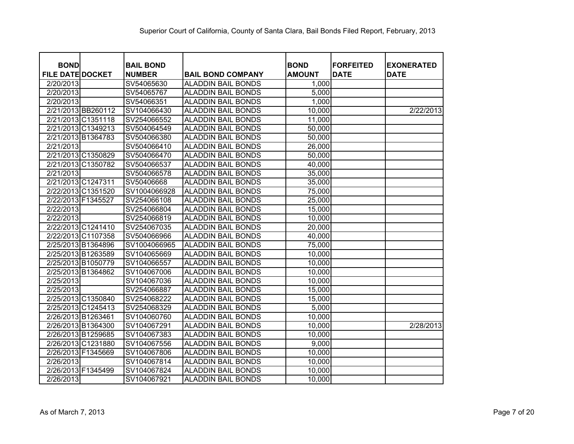| <b>BOND</b>             | <b>BAIL BOND</b> |                           | <b>BOND</b>   | <b>FORFEITED</b> |                                  |
|-------------------------|------------------|---------------------------|---------------|------------------|----------------------------------|
| <b>FILE DATE DOCKET</b> | <b>NUMBER</b>    | <b>BAIL BOND COMPANY</b>  | <b>AMOUNT</b> | <b>DATE</b>      | <b>EXONERATED</b><br><b>DATE</b> |
| 2/20/2013               | SV54065630       | <b>ALADDIN BAIL BONDS</b> | 1,000         |                  |                                  |
| 2/20/2013               | SV54065767       | <b>ALADDIN BAIL BONDS</b> | 5,000         |                  |                                  |
| 2/20/2013               | SV54066351       | <b>ALADDIN BAIL BONDS</b> | 1,000         |                  |                                  |
| 2/21/2013 BB260112      | SV104066430      | <b>ALADDIN BAIL BONDS</b> | 10,000        |                  | 2/22/2013                        |
| 2/21/2013 C1351118      | SV254066552      | <b>ALADDIN BAIL BONDS</b> | 11,000        |                  |                                  |
| 2/21/2013 C1349213      | SV504064549      | <b>ALADDIN BAIL BONDS</b> | 50,000        |                  |                                  |
| 2/21/2013 B1364783      | SV504066380      | <b>ALADDIN BAIL BONDS</b> | 50,000        |                  |                                  |
| 2/21/2013               | SV504066410      | <b>ALADDIN BAIL BONDS</b> | 26,000        |                  |                                  |
| 2/21/2013 C1350829      | SV504066470      | <b>ALADDIN BAIL BONDS</b> | 50,000        |                  |                                  |
| 2/21/2013 C1350782      | SV504066537      | <b>ALADDIN BAIL BONDS</b> | 40,000        |                  |                                  |
| 2/21/2013               | SV504066578      | <b>ALADDIN BAIL BONDS</b> | 35,000        |                  |                                  |
| 2/21/2013 C1247311      | SV50406668       | <b>ALADDIN BAIL BONDS</b> | 35,000        |                  |                                  |
| 2/22/2013 C1351520      | SV1004066928     | <b>ALADDIN BAIL BONDS</b> | 75,000        |                  |                                  |
| 2/22/2013 F1345527      | SV254066108      | <b>ALADDIN BAIL BONDS</b> | 25,000        |                  |                                  |
| 2/22/2013               | SV254066804      | <b>ALADDIN BAIL BONDS</b> | 15,000        |                  |                                  |
| 2/22/2013               | SV254066819      | <b>ALADDIN BAIL BONDS</b> | 10,000        |                  |                                  |
| 2/22/2013 C1241410      | SV254067035      | <b>ALADDIN BAIL BONDS</b> | 20,000        |                  |                                  |
| 2/22/2013 C1107358      | SV504066966      | <b>ALADDIN BAIL BONDS</b> | 40,000        |                  |                                  |
| 2/25/2013 B1364896      | SV1004066965     | <b>ALADDIN BAIL BONDS</b> | 75,000        |                  |                                  |
| 2/25/2013 B1263589      | SV104065669      | <b>ALADDIN BAIL BONDS</b> | 10,000        |                  |                                  |
| 2/25/2013 B1050779      | SV104066557      | <b>ALADDIN BAIL BONDS</b> | 10,000        |                  |                                  |
| 2/25/2013 B1364862      | SV104067006      | <b>ALADDIN BAIL BONDS</b> | 10,000        |                  |                                  |
| 2/25/2013               | SV104067036      | <b>ALADDIN BAIL BONDS</b> | 10,000        |                  |                                  |
| 2/25/2013               | SV254066887      | <b>ALADDIN BAIL BONDS</b> | 15,000        |                  |                                  |
| 2/25/2013 C1350840      | SV254068222      | <b>ALADDIN BAIL BONDS</b> | 15,000        |                  |                                  |
| 2/25/2013 C1245413      | SV254068329      | <b>ALADDIN BAIL BONDS</b> | 5,000         |                  |                                  |
| 2/26/2013 B1263461      | SV104060760      | <b>ALADDIN BAIL BONDS</b> | 10,000        |                  |                                  |
| 2/26/2013 B1364300      | SV104067291      | <b>ALADDIN BAIL BONDS</b> | 10,000        |                  | 2/28/2013                        |
| 2/26/2013 B1259685      | SV104067383      | <b>ALADDIN BAIL BONDS</b> | 10,000        |                  |                                  |
| 2/26/2013 C1231880      | SV104067556      | <b>ALADDIN BAIL BONDS</b> | 9,000         |                  |                                  |
| 2/26/2013 F1345669      | SV104067806      | <b>ALADDIN BAIL BONDS</b> | 10,000        |                  |                                  |
| 2/26/2013               | SV104067814      | <b>ALADDIN BAIL BONDS</b> | 10,000        |                  |                                  |
| 2/26/2013 F1345499      | SV104067824      | <b>ALADDIN BAIL BONDS</b> | 10,000        |                  |                                  |
| 2/26/2013               | SV104067921      | <b>ALADDIN BAIL BONDS</b> | 10,000        |                  |                                  |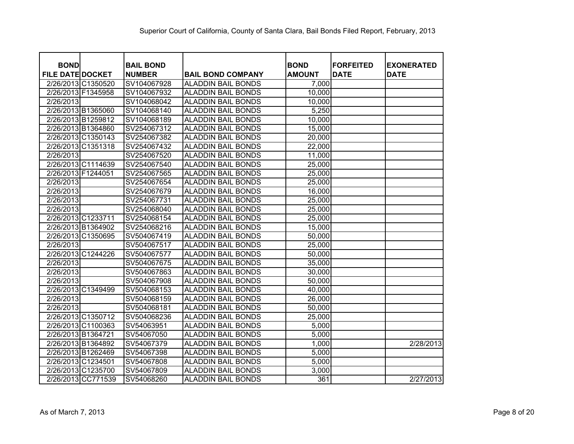| <b>BOND</b>             | <b>BAIL BOND</b> |                           | <b>BOND</b>   | <b>FORFEITED</b> | <b>EXONERATED</b> |
|-------------------------|------------------|---------------------------|---------------|------------------|-------------------|
| <b>FILE DATE DOCKET</b> | <b>NUMBER</b>    | <b>BAIL BOND COMPANY</b>  | <b>AMOUNT</b> | <b>DATE</b>      | <b>DATE</b>       |
| 2/26/2013 C1350520      | SV104067928      | <b>ALADDIN BAIL BONDS</b> | 7,000         |                  |                   |
| 2/26/2013 F1345958      | SV104067932      | <b>ALADDIN BAIL BONDS</b> | 10,000        |                  |                   |
| 2/26/2013               | SV104068042      | <b>ALADDIN BAIL BONDS</b> | 10,000        |                  |                   |
| 2/26/2013 B1365060      | SV104068140      | <b>ALADDIN BAIL BONDS</b> | 5,250         |                  |                   |
| 2/26/2013 B1259812      | SV104068189      | <b>ALADDIN BAIL BONDS</b> | 10,000        |                  |                   |
| 2/26/2013 B1364860      | SV254067312      | <b>ALADDIN BAIL BONDS</b> | 15,000        |                  |                   |
| 2/26/2013 C1350143      | SV254067382      | <b>ALADDIN BAIL BONDS</b> | 20,000        |                  |                   |
| 2/26/2013 C1351318      | SV254067432      | <b>ALADDIN BAIL BONDS</b> | 22,000        |                  |                   |
| 2/26/2013               | SV254067520      | <b>ALADDIN BAIL BONDS</b> | 11,000        |                  |                   |
| 2/26/2013 C1114639      | SV254067540      | <b>ALADDIN BAIL BONDS</b> | 25,000        |                  |                   |
| 2/26/2013 F1244051      | SV254067565      | <b>ALADDIN BAIL BONDS</b> | 25,000        |                  |                   |
| 2/26/2013               | SV254067654      | <b>ALADDIN BAIL BONDS</b> | 25,000        |                  |                   |
| 2/26/2013               | SV254067679      | <b>ALADDIN BAIL BONDS</b> | 16,000        |                  |                   |
| 2/26/2013               | SV254067731      | <b>ALADDIN BAIL BONDS</b> | 25,000        |                  |                   |
| 2/26/2013               | SV254068040      | <b>ALADDIN BAIL BONDS</b> | 25,000        |                  |                   |
| 2/26/2013 C1233711      | SV254068154      | <b>ALADDIN BAIL BONDS</b> | 25,000        |                  |                   |
| 2/26/2013 B1364902      | SV254068216      | <b>ALADDIN BAIL BONDS</b> | 15,000        |                  |                   |
| 2/26/2013 C1350695      | SV504067419      | <b>ALADDIN BAIL BONDS</b> | 50,000        |                  |                   |
| 2/26/2013               | SV504067517      | <b>ALADDIN BAIL BONDS</b> | 25,000        |                  |                   |
| 2/26/2013 C1244226      | SV504067577      | <b>ALADDIN BAIL BONDS</b> | 50,000        |                  |                   |
| 2/26/2013               | SV504067675      | <b>ALADDIN BAIL BONDS</b> | 35,000        |                  |                   |
| 2/26/2013               | SV504067863      | <b>ALADDIN BAIL BONDS</b> | 30,000        |                  |                   |
| 2/26/2013               | SV504067908      | <b>ALADDIN BAIL BONDS</b> | 50,000        |                  |                   |
| 2/26/2013 C1349499      | SV504068153      | <b>ALADDIN BAIL BONDS</b> | 40,000        |                  |                   |
| 2/26/2013               | SV504068159      | <b>ALADDIN BAIL BONDS</b> | 26,000        |                  |                   |
| 2/26/2013               | SV504068181      | <b>ALADDIN BAIL BONDS</b> | 50,000        |                  |                   |
| 2/26/2013 C1350712      | SV504068236      | <b>ALADDIN BAIL BONDS</b> | 25,000        |                  |                   |
| 2/26/2013 C1100363      | SV54063951       | <b>ALADDIN BAIL BONDS</b> | 5,000         |                  |                   |
| 2/26/2013 B1364721      | SV54067050       | <b>ALADDIN BAIL BONDS</b> | 5,000         |                  |                   |
| 2/26/2013 B1364892      | SV54067379       | <b>ALADDIN BAIL BONDS</b> | 1,000         |                  | 2/28/2013         |
| 2/26/2013 B1262469      | SV54067398       | <b>ALADDIN BAIL BONDS</b> | 5,000         |                  |                   |
| 2/26/2013 C1234501      | SV54067808       | <b>ALADDIN BAIL BONDS</b> | 5,000         |                  |                   |
| 2/26/2013 C1235700      | SV54067809       | <b>ALADDIN BAIL BONDS</b> | 3,000         |                  |                   |
| 2/26/2013 CC771539      | SV54068260       | <b>ALADDIN BAIL BONDS</b> | 361           |                  | 2/27/2013         |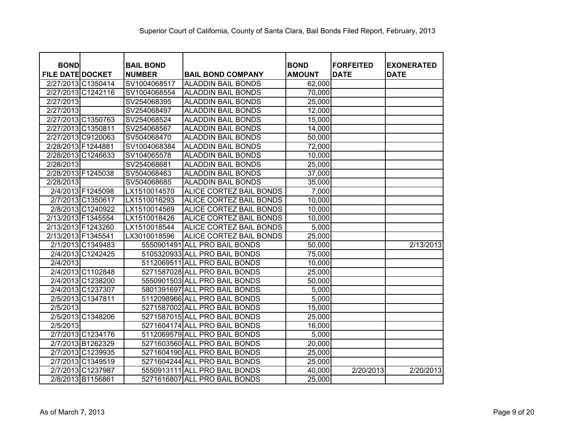| <b>BOND</b>             |                    | <b>BAIL BOND</b> |                               | <b>BOND</b>   | <b>FORFEITED</b> | <b>EXONERATED</b> |
|-------------------------|--------------------|------------------|-------------------------------|---------------|------------------|-------------------|
| <b>FILE DATE DOCKET</b> |                    | <b>NUMBER</b>    | <b>BAIL BOND COMPANY</b>      | <b>AMOUNT</b> | <b>DATE</b>      | <b>DATE</b>       |
| 2/27/2013 C1350414      |                    | SV1004068517     | <b>ALADDIN BAIL BONDS</b>     | 62,000        |                  |                   |
|                         | 2/27/2013 C1242116 | SV1004068554     | <b>ALADDIN BAIL BONDS</b>     | 70,000        |                  |                   |
| 2/27/2013               |                    | SV254068395      | <b>ALADDIN BAIL BONDS</b>     | 25,000        |                  |                   |
| 2/27/2013               |                    | SV254068497      | <b>ALADDIN BAIL BONDS</b>     | 12,000        |                  |                   |
|                         | 2/27/2013 C1350763 | SV254068524      | <b>ALADDIN BAIL BONDS</b>     | 15,000        |                  |                   |
| 2/27/2013 C1350811      |                    | SV254068567      | <b>ALADDIN BAIL BONDS</b>     | 14,000        |                  |                   |
| 2/27/2013 C9120063      |                    | SV504068470      | <b>ALADDIN BAIL BONDS</b>     | 50,000        |                  |                   |
| 2/28/2013 F1244881      |                    | SV1004068384     | <b>ALADDIN BAIL BONDS</b>     | 72,000        |                  |                   |
| 2/28/2013 C1246633      |                    | SV104065578      | <b>ALADDIN BAIL BONDS</b>     | 10,000        |                  |                   |
| 2/28/2013               |                    | SV254068681      | <b>ALADDIN BAIL BONDS</b>     | 25,000        |                  |                   |
| 2/28/2013 F1245038      |                    | SV504068463      | <b>ALADDIN BAIL BONDS</b>     | 37,000        |                  |                   |
| 2/28/2013               |                    | SV504068685      | <b>ALADDIN BAIL BONDS</b>     | 35,000        |                  |                   |
|                         | 2/4/2013 F1245098  | LX1510014570     | ALICE CORTEZ BAIL BONDS       | 7,000         |                  |                   |
|                         | 2/7/2013 C1350617  | LX1510016293     | ALICE CORTEZ BAIL BONDS       | 10,000        |                  |                   |
|                         | 2/8/2013 C1240922  | LX1510014569     | ALICE CORTEZ BAIL BONDS       | 10,000        |                  |                   |
| 2/13/2013 F1345554      |                    | LX1510018426     | ALICE CORTEZ BAIL BONDS       | 10,000        |                  |                   |
| 2/13/2013 F1243260      |                    | LX1510018544     | ALICE CORTEZ BAIL BONDS       | 5,000         |                  |                   |
| 2/13/2013 F1345541      |                    | LX3010018596     | ALICE CORTEZ BAIL BONDS       | 25,000        |                  |                   |
|                         | 2/1/2013 C1349483  |                  | 5550901491 ALL PRO BAIL BONDS | 50,000        |                  | 2/13/2013         |
|                         | 2/4/2013 C1242425  |                  | 5105320933 ALL PRO BAIL BONDS | 75,000        |                  |                   |
| 2/4/2013                |                    |                  | 5112069511 ALL PRO BAIL BONDS | 10,000        |                  |                   |
|                         | 2/4/2013 C1102848  |                  | 5271587028 ALL PRO BAIL BONDS | 25,000        |                  |                   |
|                         | 2/4/2013 C1238200  |                  | 5550901503 ALL PRO BAIL BONDS | 50,000        |                  |                   |
|                         | 2/4/2013 C1237307  |                  | 5801391697 ALL PRO BAIL BONDS | 5,000         |                  |                   |
|                         | 2/5/2013 C1347811  |                  | 5112098966 ALL PRO BAIL BONDS | 5,000         |                  |                   |
| 2/5/2013                |                    |                  | 5271587002 ALL PRO BAIL BONDS | 15,000        |                  |                   |
|                         | 2/5/2013 C1348206  |                  | 5271587015 ALL PRO BAIL BONDS | 25,000        |                  |                   |
| 2/5/2013                |                    |                  | 5271604174 ALL PRO BAIL BONDS | 16,000        |                  |                   |
|                         | 2/7/2013 C1234176  |                  | 5112069579 ALL PRO BAIL BONDS | 5,000         |                  |                   |
|                         | 2/7/2013 B1262329  |                  | 5271603560 ALL PRO BAIL BONDS | 20,000        |                  |                   |
|                         | 2/7/2013 C1239935  |                  | 5271604190 ALL PRO BAIL BONDS | 25,000        |                  |                   |
|                         | 2/7/2013 C1349519  |                  | 5271604244 ALL PRO BAIL BONDS | 25,000        |                  |                   |
|                         | 2/7/2013 C1237987  |                  | 5550913111 ALL PRO BAIL BONDS | 40,000        | 2/20/2013        | 2/20/2013         |
|                         | 2/8/2013 B1156861  |                  | 5271616807 ALL PRO BAIL BONDS | 25,000        |                  |                   |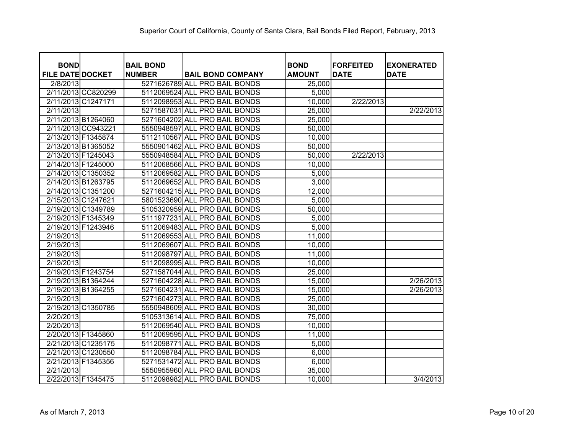| <b>BOND</b>             |                    | <b>BAIL BOND</b> |                               | <b>BOND</b>   | <b>FORFEITED</b> | <b>EXONERATED</b> |
|-------------------------|--------------------|------------------|-------------------------------|---------------|------------------|-------------------|
| <b>FILE DATE DOCKET</b> |                    | <b>NUMBER</b>    | <b>BAIL BOND COMPANY</b>      | <b>AMOUNT</b> | <b>DATE</b>      | <b>DATE</b>       |
| 2/8/2013                |                    |                  | 5271626789 ALL PRO BAIL BONDS | 25,000        |                  |                   |
|                         | 2/11/2013 CC820299 |                  | 5112069524 ALL PRO BAIL BONDS | 5,000         |                  |                   |
| 2/11/2013 C1247171      |                    |                  | 5112098953 ALL PRO BAIL BONDS | 10,000        | 2/22/2013        |                   |
| 2/11/2013               |                    |                  | 5271587031 ALL PRO BAIL BONDS | 25,000        |                  | 2/22/2013         |
| 2/11/2013 B1264060      |                    |                  | 5271604202 ALL PRO BAIL BONDS | 25,000        |                  |                   |
| 2/11/2013 CC943221      |                    |                  | 5550948597 ALL PRO BAIL BONDS | 50,000        |                  |                   |
| 2/13/2013 F1345874      |                    |                  | 5112110567 ALL PRO BAIL BONDS | 10,000        |                  |                   |
| 2/13/2013 B1365052      |                    |                  | 5550901462 ALL PRO BAIL BONDS | 50,000        |                  |                   |
| 2/13/2013 F1245043      |                    |                  | 5550948584 ALL PRO BAIL BONDS | 50,000        | 2/22/2013        |                   |
| 2/14/2013 F1245000      |                    |                  | 5112068566 ALL PRO BAIL BONDS | 10,000        |                  |                   |
| 2/14/2013 C1350352      |                    |                  | 5112069582 ALL PRO BAIL BONDS | 5,000         |                  |                   |
| 2/14/2013 B1263795      |                    |                  | 5112069652 ALL PRO BAIL BONDS | 3,000         |                  |                   |
| 2/14/2013 C1351200      |                    |                  | 5271604215 ALL PRO BAIL BONDS | 12,000        |                  |                   |
| 2/15/2013 C1247621      |                    |                  | 5801523690 ALL PRO BAIL BONDS | 5,000         |                  |                   |
| 2/19/2013 C1349789      |                    |                  | 5105320959 ALL PRO BAIL BONDS | 50,000        |                  |                   |
| 2/19/2013 F1345349      |                    |                  | 5111977231 ALL PRO BAIL BONDS | 5,000         |                  |                   |
| 2/19/2013 F1243946      |                    |                  | 5112069483 ALL PRO BAIL BONDS | 5,000         |                  |                   |
| 2/19/2013               |                    |                  | 5112069553 ALL PRO BAIL BONDS | 11,000        |                  |                   |
| 2/19/2013               |                    |                  | 5112069607 ALL PRO BAIL BONDS | 10,000        |                  |                   |
| 2/19/2013               |                    |                  | 5112098797 ALL PRO BAIL BONDS | 11,000        |                  |                   |
| 2/19/2013               |                    |                  | 5112098995 ALL PRO BAIL BONDS | 10,000        |                  |                   |
| 2/19/2013 F1243754      |                    |                  | 5271587044 ALL PRO BAIL BONDS | 25,000        |                  |                   |
| 2/19/2013 B1364244      |                    |                  | 5271604228 ALL PRO BAIL BONDS | 15,000        |                  | 2/26/2013         |
| 2/19/2013 B1364255      |                    |                  | 5271604231 ALL PRO BAIL BONDS | 15,000        |                  | 2/26/2013         |
| 2/19/2013               |                    |                  | 5271604273 ALL PRO BAIL BONDS | 25,000        |                  |                   |
| 2/19/2013 C1350785      |                    |                  | 5550948609 ALL PRO BAIL BONDS | 30,000        |                  |                   |
| 2/20/2013               |                    |                  | 5105313614 ALL PRO BAIL BONDS | 75,000        |                  |                   |
| 2/20/2013               |                    |                  | 5112069540 ALL PRO BAIL BONDS | 10,000        |                  |                   |
| 2/20/2013 F1345860      |                    |                  | 5112069595 ALL PRO BAIL BONDS | 11,000        |                  |                   |
| 2/21/2013 C1235175      |                    |                  | 5112098771 ALL PRO BAIL BONDS | 5,000         |                  |                   |
| 2/21/2013 C1230550      |                    |                  | 5112098784 ALL PRO BAIL BONDS | 6,000         |                  |                   |
| 2/21/2013 F1345356      |                    |                  | 5271531472 ALL PRO BAIL BONDS | 6,000         |                  |                   |
| 2/21/2013               |                    |                  | 5550955960 ALL PRO BAIL BONDS | 35,000        |                  |                   |
| 2/22/2013 F1345475      |                    |                  | 5112098982 ALL PRO BAIL BONDS | 10,000        |                  | 3/4/2013          |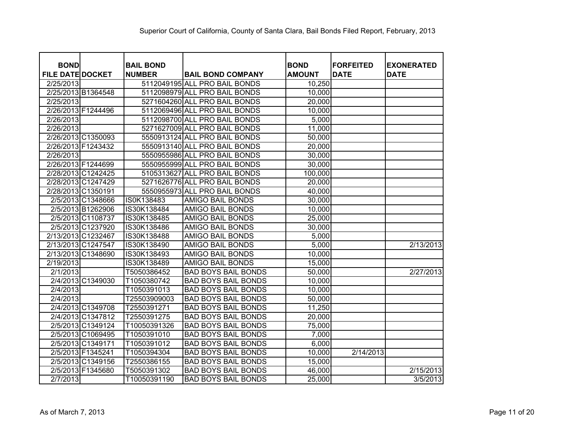| <b>BOND</b>             |                   | <b>BAIL BOND</b> |                               | <b>BOND</b>   | <b>FORFEITED</b> | <b>EXONERATED</b> |
|-------------------------|-------------------|------------------|-------------------------------|---------------|------------------|-------------------|
| <b>FILE DATE DOCKET</b> |                   | <b>NUMBER</b>    | <b>BAIL BOND COMPANY</b>      | <b>AMOUNT</b> | <b>DATE</b>      | <b>DATE</b>       |
| 2/25/2013               |                   |                  | 5112049195 ALL PRO BAIL BONDS | 10,250        |                  |                   |
| 2/25/2013 B1364548      |                   |                  | 5112098979 ALL PRO BAIL BONDS | 10,000        |                  |                   |
| 2/25/2013               |                   |                  | 5271604260 ALL PRO BAIL BONDS | 20,000        |                  |                   |
| 2/26/2013 F1244496      |                   |                  | 5112069496 ALL PRO BAIL BONDS | 10,000        |                  |                   |
| 2/26/2013               |                   |                  | 5112098700 ALL PRO BAIL BONDS | 5,000         |                  |                   |
| 2/26/2013               |                   |                  | 5271627009 ALL PRO BAIL BONDS | 11,000        |                  |                   |
| 2/26/2013 C1350093      |                   |                  | 5550913124 ALL PRO BAIL BONDS | 50,000        |                  |                   |
| 2/26/2013 F1243432      |                   |                  | 5550913140 ALL PRO BAIL BONDS | 20,000        |                  |                   |
| 2/26/2013               |                   |                  | 5550955986 ALL PRO BAIL BONDS | 30,000        |                  |                   |
| 2/26/2013 F1244699      |                   |                  | 5550955999 ALL PRO BAIL BONDS | 30,000        |                  |                   |
| 2/28/2013 C1242425      |                   |                  | 5105313627 ALL PRO BAIL BONDS | 100,000       |                  |                   |
| 2/28/2013 C1247429      |                   |                  | 5271626776 ALL PRO BAIL BONDS | 20,000        |                  |                   |
| 2/28/2013 C1350191      |                   |                  | 5550955973 ALL PRO BAIL BONDS | 40,000        |                  |                   |
|                         | 2/5/2013 C1348666 | IS0K138483       | <b>AMIGO BAIL BONDS</b>       | 30,000        |                  |                   |
|                         | 2/5/2013 B1262906 | IS30K138484      | AMIGO BAIL BONDS              | 10,000        |                  |                   |
|                         | 2/5/2013 C1108737 | IS30K138485      | <b>AMIGO BAIL BONDS</b>       | 25,000        |                  |                   |
|                         | 2/5/2013 C1237920 | IS30K138486      | <b>AMIGO BAIL BONDS</b>       | 30,000        |                  |                   |
| 2/13/2013 C1232467      |                   | IS30K138488      | <b>AMIGO BAIL BONDS</b>       | 5,000         |                  |                   |
| 2/13/2013 C1247547      |                   | IS30K138490      | <b>AMIGO BAIL BONDS</b>       | 5,000         |                  | 2/13/2013         |
| 2/13/2013 C1348690      |                   | IS30K138493      | <b>AMIGO BAIL BONDS</b>       | 10,000        |                  |                   |
| 2/19/2013               |                   | IS30K138489      | <b>AMIGO BAIL BONDS</b>       | 15,000        |                  |                   |
| 2/1/2013                |                   | T5050386452      | <b>BAD BOYS BAIL BONDS</b>    | 50,000        |                  | 2/27/2013         |
|                         | 2/4/2013 C1349030 | T1050380742      | <b>BAD BOYS BAIL BONDS</b>    | 10,000        |                  |                   |
| 2/4/2013                |                   | T1050391013      | <b>BAD BOYS BAIL BONDS</b>    | 10,000        |                  |                   |
| 2/4/2013                |                   | T25503909003     | <b>BAD BOYS BAIL BONDS</b>    | 50,000        |                  |                   |
|                         | 2/4/2013 C1349708 | T2550391271      | <b>BAD BOYS BAIL BONDS</b>    | 11,250        |                  |                   |
|                         | 2/4/2013 C1347812 | T2550391275      | <b>BAD BOYS BAIL BONDS</b>    | 20,000        |                  |                   |
|                         | 2/5/2013 C1349124 | T10050391326     | <b>BAD BOYS BAIL BONDS</b>    | 75,000        |                  |                   |
|                         | 2/5/2013 C1069495 | T1050391010      | <b>BAD BOYS BAIL BONDS</b>    | 7,000         |                  |                   |
|                         | 2/5/2013 C1349171 | T1050391012      | <b>BAD BOYS BAIL BONDS</b>    | 6,000         |                  |                   |
|                         | 2/5/2013 F1345241 | T1050394304      | <b>BAD BOYS BAIL BONDS</b>    | 10,000        | 2/14/2013        |                   |
|                         | 2/5/2013 C1349156 | T2550386155      | <b>BAD BOYS BAIL BONDS</b>    | 15,000        |                  |                   |
|                         | 2/5/2013 F1345680 | T5050391302      | <b>BAD BOYS BAIL BONDS</b>    | 46,000        |                  | 2/15/2013         |
| 2/7/2013                |                   | T10050391190     | <b>BAD BOYS BAIL BONDS</b>    | 25,000        |                  | 3/5/2013          |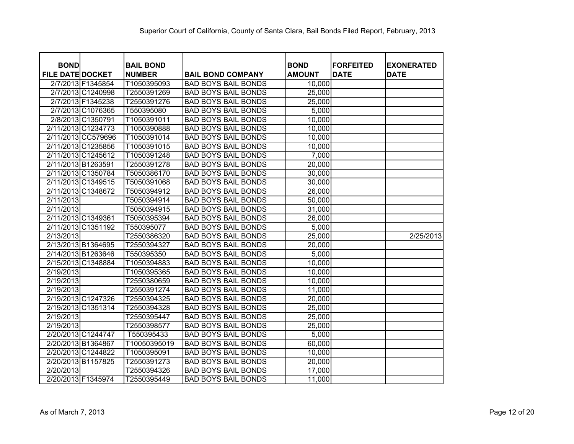| <b>BOND</b>             | <b>BAIL BOND</b> |                            | <b>BOND</b>   | <b>FORFEITED</b> | <b>EXONERATED</b> |
|-------------------------|------------------|----------------------------|---------------|------------------|-------------------|
| <b>FILE DATE DOCKET</b> | <b>NUMBER</b>    | <b>BAIL BOND COMPANY</b>   | <b>AMOUNT</b> | <b>DATE</b>      | <b>DATE</b>       |
| 2/7/2013 F1345854       | T1050395093      | <b>BAD BOYS BAIL BONDS</b> | 10,000        |                  |                   |
| 2/7/2013 C1240998       | T2550391269      | <b>BAD BOYS BAIL BONDS</b> | 25,000        |                  |                   |
| 2/7/2013 F1345238       | T2550391276      | <b>BAD BOYS BAIL BONDS</b> | 25,000        |                  |                   |
| 2/7/2013 C1076365       | T550395080       | <b>BAD BOYS BAIL BONDS</b> | 5,000         |                  |                   |
| 2/8/2013 C1350791       | T1050391011      | <b>BAD BOYS BAIL BONDS</b> | 10,000        |                  |                   |
| 2/11/2013 C1234773      | T1050390888      | <b>BAD BOYS BAIL BONDS</b> | 10,000        |                  |                   |
| 2/11/2013 CC579696      | T1050391014      | <b>BAD BOYS BAIL BONDS</b> | 10,000        |                  |                   |
| 2/11/2013 C1235856      | T1050391015      | <b>BAD BOYS BAIL BONDS</b> | 10,000        |                  |                   |
| 2/11/2013 C1245612      | T1050391248      | <b>BAD BOYS BAIL BONDS</b> | 7,000         |                  |                   |
| 2/11/2013 B1263591      | T2550391278      | <b>BAD BOYS BAIL BONDS</b> | 20,000        |                  |                   |
| 2/11/2013 C1350784      | T5050386170      | <b>BAD BOYS BAIL BONDS</b> | 30,000        |                  |                   |
| 2/11/2013 C1349515      | T5050391068      | <b>BAD BOYS BAIL BONDS</b> | 30,000        |                  |                   |
| 2/11/2013 C1348672      | T5050394912      | <b>BAD BOYS BAIL BONDS</b> | 26,000        |                  |                   |
| 2/11/2013               | T5050394914      | <b>BAD BOYS BAIL BONDS</b> | 50,000        |                  |                   |
| 2/11/2013               | T5050394915      | <b>BAD BOYS BAIL BONDS</b> | 31,000        |                  |                   |
| 2/11/2013 C1349361      | T5050395394      | <b>BAD BOYS BAIL BONDS</b> | 26,000        |                  |                   |
| 2/11/2013 C1351192      | T550395077       | <b>BAD BOYS BAIL BONDS</b> | 5,000         |                  |                   |
| 2/13/2013               | T2550386320      | <b>BAD BOYS BAIL BONDS</b> | 25,000        |                  | 2/25/2013         |
| 2/13/2013 B1364695      | T2550394327      | <b>BAD BOYS BAIL BONDS</b> | 20,000        |                  |                   |
| 2/14/2013 B1263646      | T550395350       | <b>BAD BOYS BAIL BONDS</b> | 5,000         |                  |                   |
| 2/15/2013 C1348884      | T1050394883      | <b>BAD BOYS BAIL BONDS</b> | 10,000        |                  |                   |
| 2/19/2013               | T1050395365      | <b>BAD BOYS BAIL BONDS</b> | 10,000        |                  |                   |
| 2/19/2013               | T2550380659      | <b>BAD BOYS BAIL BONDS</b> | 10,000        |                  |                   |
| 2/19/2013               | T2550391274      | <b>BAD BOYS BAIL BONDS</b> | 11,000        |                  |                   |
| 2/19/2013 C1247326      | T2550394325      | <b>BAD BOYS BAIL BONDS</b> | 20,000        |                  |                   |
| 2/19/2013 C1351314      | T2550394328      | <b>BAD BOYS BAIL BONDS</b> | 25,000        |                  |                   |
| 2/19/2013               | T2550395447      | <b>BAD BOYS BAIL BONDS</b> | 25,000        |                  |                   |
| 2/19/2013               | T2550398577      | <b>BAD BOYS BAIL BONDS</b> | 25,000        |                  |                   |
| 2/20/2013 C1244747      | T550395433       | <b>BAD BOYS BAIL BONDS</b> | 5,000         |                  |                   |
| 2/20/2013 B1364867      | T10050395019     | <b>BAD BOYS BAIL BONDS</b> | 60,000        |                  |                   |
| 2/20/2013 C1244822      | T1050395091      | <b>BAD BOYS BAIL BONDS</b> | 10,000        |                  |                   |
| 2/20/2013 B1157825      | T2550391273      | <b>BAD BOYS BAIL BONDS</b> | 20,000        |                  |                   |
| 2/20/2013               | T2550394326      | <b>BAD BOYS BAIL BONDS</b> | 17,000        |                  |                   |
| 2/20/2013 F1345974      | T2550395449      | <b>BAD BOYS BAIL BONDS</b> | 11,000        |                  |                   |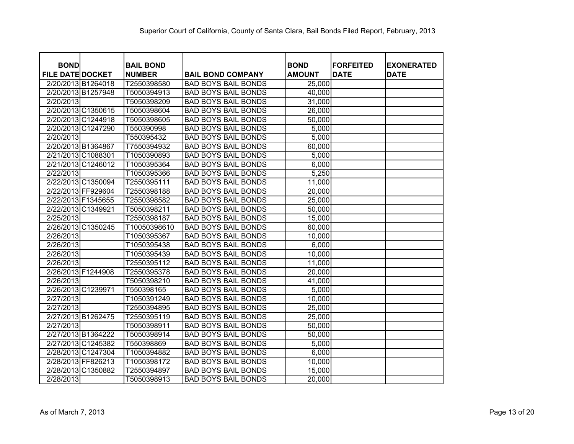| <b>BOND</b>             | <b>BAIL BOND</b> |                            | <b>BOND</b>   | <b>FORFEITED</b> | <b>EXONERATED</b> |
|-------------------------|------------------|----------------------------|---------------|------------------|-------------------|
| <b>FILE DATE DOCKET</b> | <b>NUMBER</b>    | <b>BAIL BOND COMPANY</b>   | <b>AMOUNT</b> | <b>DATE</b>      | <b>DATE</b>       |
| 2/20/2013 B1264018      | T2550398580      | <b>BAD BOYS BAIL BONDS</b> | 25,000        |                  |                   |
| 2/20/2013 B1257948      | T5050394913      | <b>BAD BOYS BAIL BONDS</b> | 40,000        |                  |                   |
| 2/20/2013               | T5050398209      | <b>BAD BOYS BAIL BONDS</b> | 31,000        |                  |                   |
| 2/20/2013 C1350615      | T5050398604      | <b>BAD BOYS BAIL BONDS</b> | 26,000        |                  |                   |
| 2/20/2013 C1244918      | T5050398605      | <b>BAD BOYS BAIL BONDS</b> | 50,000        |                  |                   |
| 2/20/2013 C1247290      | T550390998       | <b>BAD BOYS BAIL BONDS</b> | 5,000         |                  |                   |
| 2/20/2013               | T550395432       | <b>BAD BOYS BAIL BONDS</b> | 5,000         |                  |                   |
| 2/20/2013 B1364867      | T7550394932      | <b>BAD BOYS BAIL BONDS</b> | 60,000        |                  |                   |
| 2/21/2013 C1088301      | T1050390893      | <b>BAD BOYS BAIL BONDS</b> | 5,000         |                  |                   |
| 2/21/2013 C1246012      | T1050395364      | <b>BAD BOYS BAIL BONDS</b> | 6,000         |                  |                   |
| 2/22/2013               | T1050395366      | <b>BAD BOYS BAIL BONDS</b> | 5,250         |                  |                   |
| 2/22/2013 C1350094      | T2550395111      | <b>BAD BOYS BAIL BONDS</b> | 11,000        |                  |                   |
| 2/22/2013 FF929604      | T2550398188      | <b>BAD BOYS BAIL BONDS</b> | 20,000        |                  |                   |
| 2/22/2013 F1345655      | T2550398582      | <b>BAD BOYS BAIL BONDS</b> | 25,000        |                  |                   |
| 2/22/2013 C1349921      | T5050398211      | <b>BAD BOYS BAIL BONDS</b> | 50,000        |                  |                   |
| 2/25/2013               | T2550398187      | <b>BAD BOYS BAIL BONDS</b> | 15,000        |                  |                   |
| 2/26/2013 C1350245      | T10050398610     | <b>BAD BOYS BAIL BONDS</b> | 60,000        |                  |                   |
| 2/26/2013               | T1050395367      | <b>BAD BOYS BAIL BONDS</b> | 10,000        |                  |                   |
| 2/26/2013               | T1050395438      | <b>BAD BOYS BAIL BONDS</b> | 6,000         |                  |                   |
| 2/26/2013               | T1050395439      | <b>BAD BOYS BAIL BONDS</b> | 10,000        |                  |                   |
| 2/26/2013               | T2550395112      | <b>BAD BOYS BAIL BONDS</b> | 11,000        |                  |                   |
| 2/26/2013 F1244908      | T2550395378      | <b>BAD BOYS BAIL BONDS</b> | 20,000        |                  |                   |
| 2/26/2013               | T5050398210      | <b>BAD BOYS BAIL BONDS</b> | 41,000        |                  |                   |
| 2/26/2013 C1239971      | T550398165       | <b>BAD BOYS BAIL BONDS</b> | 5,000         |                  |                   |
| 2/27/2013               | T1050391249      | <b>BAD BOYS BAIL BONDS</b> | 10,000        |                  |                   |
| 2/27/2013               | T2550394895      | <b>BAD BOYS BAIL BONDS</b> | 25,000        |                  |                   |
| 2/27/2013 B1262475      | T2550395119      | <b>BAD BOYS BAIL BONDS</b> | 25,000        |                  |                   |
| 2/27/2013               | T5050398911      | <b>BAD BOYS BAIL BONDS</b> | 50,000        |                  |                   |
| 2/27/2013 B1364222      | T5050398914      | <b>BAD BOYS BAIL BONDS</b> | 50,000        |                  |                   |
| 2/27/2013 C1245382      | T550398869       | <b>BAD BOYS BAIL BONDS</b> | 5,000         |                  |                   |
| 2/28/2013 C1247304      | T1050394882      | <b>BAD BOYS BAIL BONDS</b> | 6,000         |                  |                   |
| 2/28/2013 FF826213      | T1050398172      | <b>BAD BOYS BAIL BONDS</b> | 10,000        |                  |                   |
| 2/28/2013 C1350882      | T2550394897      | <b>BAD BOYS BAIL BONDS</b> | 15,000        |                  |                   |
| 2/28/2013               | T5050398913      | <b>BAD BOYS BAIL BONDS</b> | 20,000        |                  |                   |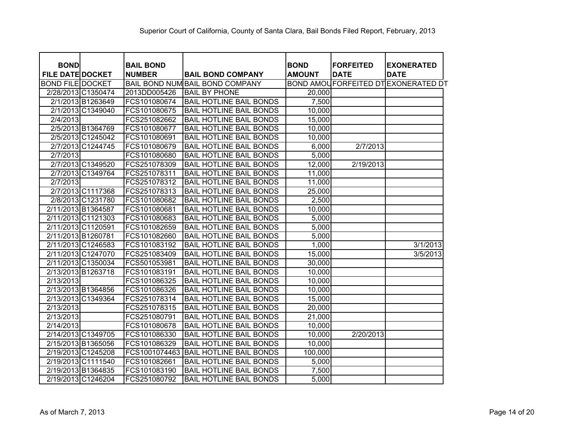| <b>BOND</b>             |                   | <b>BAIL BOND</b> |                                 | <b>BOND</b>   | <b>FORFEITED</b> | <b>EXONERATED</b>                         |
|-------------------------|-------------------|------------------|---------------------------------|---------------|------------------|-------------------------------------------|
| <b>FILE DATE DOCKET</b> |                   | <b>NUMBER</b>    | <b>BAIL BOND COMPANY</b>        | <b>AMOUNT</b> | <b>DATE</b>      | <b>DATE</b>                               |
| <b>BOND FILE DOCKET</b> |                   |                  | BAIL BOND NUM BAIL BOND COMPANY |               |                  | <b>BOND AMOUFORFEITED DTEXONERATED DT</b> |
| 2/28/2013 C1350474      |                   | 2013DD005426     | <b>BAIL BY PHONE</b>            | 20,000        |                  |                                           |
|                         | 2/1/2013 B1263649 | FCS101080674     | <b>BAIL HOTLINE BAIL BONDS</b>  | 7,500         |                  |                                           |
|                         | 2/1/2013 C1349040 | FCS101080675     | <b>BAIL HOTLINE BAIL BONDS</b>  | 10,000        |                  |                                           |
| 2/4/2013                |                   | FCS251082662     | <b>BAIL HOTLINE BAIL BONDS</b>  | 15,000        |                  |                                           |
|                         | 2/5/2013 B1364769 | FCS101080677     | <b>BAIL HOTLINE BAIL BONDS</b>  | 10,000        |                  |                                           |
|                         | 2/5/2013 C1245042 | FCS101080691     | <b>BAIL HOTLINE BAIL BONDS</b>  | 10,000        |                  |                                           |
|                         | 2/7/2013 C1244745 | FCS101080679     | <b>BAIL HOTLINE BAIL BONDS</b>  | 6,000         | 2/7/2013         |                                           |
| 2/7/2013                |                   | FCS101080680     | <b>BAIL HOTLINE BAIL BONDS</b>  | 5,000         |                  |                                           |
|                         | 2/7/2013 C1349520 | FCS251078309     | <b>BAIL HOTLINE BAIL BONDS</b>  | 12,000        | 2/19/2013        |                                           |
|                         | 2/7/2013 C1349764 | FCS251078311     | <b>BAIL HOTLINE BAIL BONDS</b>  | 11,000        |                  |                                           |
| 2/7/2013                |                   | FCS251078312     | <b>BAIL HOTLINE BAIL BONDS</b>  | 11,000        |                  |                                           |
|                         | 2/7/2013 C1117368 | FCS251078313     | <b>BAIL HOTLINE BAIL BONDS</b>  | 25,000        |                  |                                           |
|                         | 2/8/2013 C1231780 | FCS101080682     | <b>BAIL HOTLINE BAIL BONDS</b>  | 2,500         |                  |                                           |
| 2/11/2013 B1364587      |                   | FCS101080681     | <b>BAIL HOTLINE BAIL BONDS</b>  | 10,000        |                  |                                           |
| 2/11/2013 C1121303      |                   | FCS101080683     | <b>BAIL HOTLINE BAIL BONDS</b>  | 5,000         |                  |                                           |
| 2/11/2013 C1120591      |                   | FCS101082659     | <b>BAIL HOTLINE BAIL BONDS</b>  | 5,000         |                  |                                           |
| 2/11/2013 B1260781      |                   | FCS101082660     | <b>BAIL HOTLINE BAIL BONDS</b>  | 5,000         |                  |                                           |
| 2/11/2013 C1246583      |                   | FCS101083192     | <b>BAIL HOTLINE BAIL BONDS</b>  | 1,000         |                  | 3/1/2013                                  |
| 2/11/2013 C1247070      |                   | FCS251083409     | <b>BAIL HOTLINE BAIL BONDS</b>  | 15,000        |                  | 3/5/2013                                  |
| 2/11/2013 C1350034      |                   | FCS501053981     | <b>BAIL HOTLINE BAIL BONDS</b>  | 30,000        |                  |                                           |
| 2/13/2013 B1263718      |                   | FCS101083191     | <b>BAIL HOTLINE BAIL BONDS</b>  | 10,000        |                  |                                           |
| 2/13/2013               |                   | FCS101086325     | <b>BAIL HOTLINE BAIL BONDS</b>  | 10,000        |                  |                                           |
| 2/13/2013 B1364856      |                   | FCS101086326     | <b>BAIL HOTLINE BAIL BONDS</b>  | 10,000        |                  |                                           |
| 2/13/2013 C1349364      |                   | FCS251078314     | <b>BAIL HOTLINE BAIL BONDS</b>  | 15,000        |                  |                                           |
| 2/13/2013               |                   | FCS251078315     | <b>BAIL HOTLINE BAIL BONDS</b>  | 20,000        |                  |                                           |
| 2/13/2013               |                   | FCS251080791     | <b>BAIL HOTLINE BAIL BONDS</b>  | 21,000        |                  |                                           |
| 2/14/2013               |                   | FCS101080678     | <b>BAIL HOTLINE BAIL BONDS</b>  | 10,000        |                  |                                           |
| 2/14/2013 C1349705      |                   | FCS101086330     | <b>BAIL HOTLINE BAIL BONDS</b>  | 10,000        | 2/20/2013        |                                           |
| 2/15/2013 B1365056      |                   | FCS101086329     | <b>BAIL HOTLINE BAIL BONDS</b>  | 10,000        |                  |                                           |
| 2/19/2013 C1245208      |                   | FCS1001074463    | <b>BAIL HOTLINE BAIL BONDS</b>  | 100,000       |                  |                                           |
| 2/19/2013 C1111540      |                   | FCS101082661     | <b>BAIL HOTLINE BAIL BONDS</b>  | 5,000         |                  |                                           |
| 2/19/2013 B1364835      |                   | FCS101083190     | <b>BAIL HOTLINE BAIL BONDS</b>  | 7,500         |                  |                                           |
| 2/19/2013 C1246204      |                   | FCS251080792     | <b>BAIL HOTLINE BAIL BONDS</b>  | 5,000         |                  |                                           |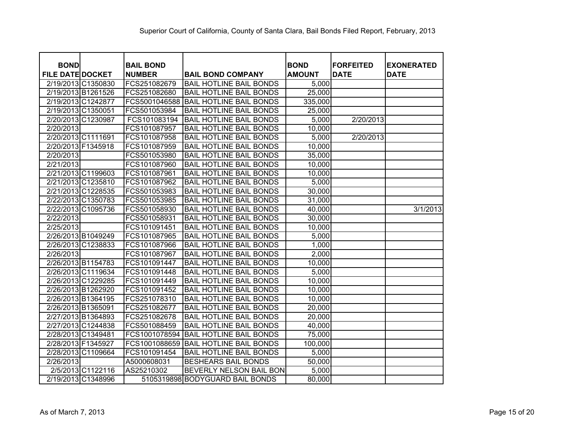| <b>BOND</b>             |                   | <b>BAIL BOND</b> |                                 | <b>BOND</b>   | <b>FORFEITED</b> | <b>EXONERATED</b> |
|-------------------------|-------------------|------------------|---------------------------------|---------------|------------------|-------------------|
| <b>FILE DATE DOCKET</b> |                   | <b>NUMBER</b>    | <b>BAIL BOND COMPANY</b>        | <b>AMOUNT</b> | <b>DATE</b>      | <b>DATE</b>       |
| 2/19/2013 C1350830      |                   | FCS251082679     | <b>BAIL HOTLINE BAIL BONDS</b>  | 5,000         |                  |                   |
| 2/19/2013 B1261526      |                   | FCS251082680     | <b>BAIL HOTLINE BAIL BONDS</b>  | 25,000        |                  |                   |
| 2/19/2013 C1242877      |                   | FCS5001046588    | <b>BAIL HOTLINE BAIL BONDS</b>  | 335,000       |                  |                   |
| 2/19/2013 C1350051      |                   | FCS501053984     | <b>BAIL HOTLINE BAIL BONDS</b>  | 25,000        |                  |                   |
| 2/20/2013 C1230987      |                   | FCS101083194     | <b>BAIL HOTLINE BAIL BONDS</b>  | 5,000         | 2/20/2013        |                   |
| 2/20/2013               |                   | FCS101087957     | <b>BAIL HOTLINE BAIL BONDS</b>  | 10,000        |                  |                   |
| 2/20/2013 C1111691      |                   | FCS101087958     | <b>BAIL HOTLINE BAIL BONDS</b>  | 5,000         | 2/20/2013        |                   |
| 2/20/2013 F1345918      |                   | FCS101087959     | <b>BAIL HOTLINE BAIL BONDS</b>  | 10,000        |                  |                   |
| 2/20/2013               |                   | FCS501053980     | <b>BAIL HOTLINE BAIL BONDS</b>  | 35,000        |                  |                   |
| 2/21/2013               |                   | FCS101087960     | <b>BAIL HOTLINE BAIL BONDS</b>  | 10,000        |                  |                   |
| 2/21/2013 C1199603      |                   | FCS101087961     | <b>BAIL HOTLINE BAIL BONDS</b>  | 10,000        |                  |                   |
| 2/21/2013 C1235810      |                   | FCS101087962     | <b>BAIL HOTLINE BAIL BONDS</b>  | 5,000         |                  |                   |
| 2/21/2013 C1228535      |                   | FCS501053983     | <b>BAIL HOTLINE BAIL BONDS</b>  | 30,000        |                  |                   |
| 2/22/2013 C1350783      |                   | FCS501053985     | <b>BAIL HOTLINE BAIL BONDS</b>  | 31,000        |                  |                   |
| 2/22/2013 C1095736      |                   | FCS501058930     | <b>BAIL HOTLINE BAIL BONDS</b>  | 40,000        |                  | 3/1/2013          |
| 2/22/2013               |                   | FCS501058931     | <b>BAIL HOTLINE BAIL BONDS</b>  | 30,000        |                  |                   |
| 2/25/2013               |                   | FCS101091451     | <b>BAIL HOTLINE BAIL BONDS</b>  | 10,000        |                  |                   |
| 2/26/2013 B1049249      |                   | FCS101087965     | <b>BAIL HOTLINE BAIL BONDS</b>  | 5,000         |                  |                   |
| 2/26/2013 C1238833      |                   | FCS101087966     | <b>BAIL HOTLINE BAIL BONDS</b>  | 1,000         |                  |                   |
| 2/26/2013               |                   | FCS101087967     | <b>BAIL HOTLINE BAIL BONDS</b>  | 2,000         |                  |                   |
| 2/26/2013 B1154783      |                   | FCS101091447     | <b>BAIL HOTLINE BAIL BONDS</b>  | 10,000        |                  |                   |
| 2/26/2013 C1119634      |                   | FCS101091448     | <b>BAIL HOTLINE BAIL BONDS</b>  | 5,000         |                  |                   |
| 2/26/2013 C1229285      |                   | FCS101091449     | <b>BAIL HOTLINE BAIL BONDS</b>  | 10,000        |                  |                   |
| 2/26/2013 B1262920      |                   | FCS101091452     | <b>BAIL HOTLINE BAIL BONDS</b>  | 10,000        |                  |                   |
| 2/26/2013 B1364195      |                   | FCS251078310     | <b>BAIL HOTLINE BAIL BONDS</b>  | 10,000        |                  |                   |
| 2/26/2013 B1365091      |                   | FCS251082677     | <b>BAIL HOTLINE BAIL BONDS</b>  | 20,000        |                  |                   |
| 2/27/2013 B1364893      |                   | FCS251082678     | <b>BAIL HOTLINE BAIL BONDS</b>  | 20,000        |                  |                   |
| 2/27/2013 C1244838      |                   | FCS501088459     | <b>BAIL HOTLINE BAIL BONDS</b>  | 40,000        |                  |                   |
| 2/28/2013 C1349481      |                   | FCS1001078594    | <b>BAIL HOTLINE BAIL BONDS</b>  | 75,000        |                  |                   |
| 2/28/2013 F1345927      |                   | FCS1001088659    | <b>BAIL HOTLINE BAIL BONDS</b>  | 100,000       |                  |                   |
| 2/28/2013 C1109664      |                   | FCS101091454     | <b>BAIL HOTLINE BAIL BONDS</b>  | 5,000         |                  |                   |
| 2/26/2013               |                   | A5000608031      | <b>BESHEARS BAIL BONDS</b>      | 50,000        |                  |                   |
|                         | 2/5/2013 C1122116 | AS25210302       | BEVERLY NELSON BAIL BON         | 5,000         |                  |                   |
| 2/19/2013 C1348996      |                   |                  | 5105319898 BODYGUARD BAIL BONDS | 80,000        |                  |                   |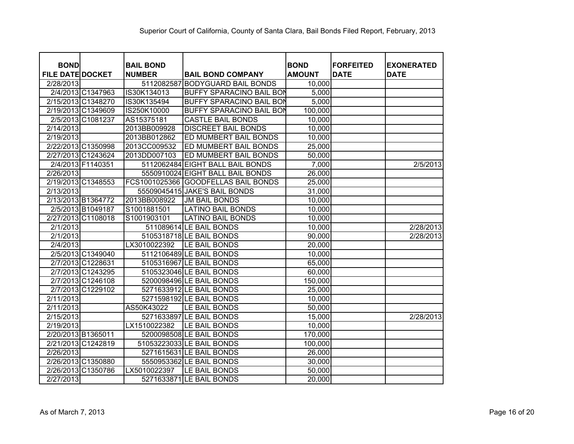| <b>BOND</b>             | <b>BAIL BOND</b> |                                  | <b>BOND</b>   | <b>FORFEITED</b> | <b>EXONERATED</b> |
|-------------------------|------------------|----------------------------------|---------------|------------------|-------------------|
| <b>FILE DATE DOCKET</b> | <b>NUMBER</b>    | <b>BAIL BOND COMPANY</b>         | <b>AMOUNT</b> | <b>DATE</b>      | <b>DATE</b>       |
| 2/28/2013               | 5112082587       | <b>BODYGUARD BAIL BONDS</b>      | 10,000        |                  |                   |
| 2/4/2013 C1347963       | IS30K134013      | <b>BUFFY SPARACINO BAIL BON</b>  | 5,000         |                  |                   |
| 2/15/2013 C1348270      | IS30K135494      | <b>BUFFY SPARACINO BAIL BON</b>  | 5,000         |                  |                   |
| 2/19/2013 C1349609      | IS250K10000      | <b>BUFFY SPARACINO BAIL BON</b>  | 100,000       |                  |                   |
| 2/5/2013 C1081237       | AS15375181       | <b>CASTLE BAIL BONDS</b>         | 10,000        |                  |                   |
| 2/14/2013               | 2013BB009928     | <b>DISCREET BAIL BONDS</b>       | 10,000        |                  |                   |
| 2/19/2013               | 2013BB012862     | ED MUMBERT BAIL BONDS            | 10,000        |                  |                   |
| 2/22/2013 C1350998      | 2013CC009532     | ED MUMBERT BAIL BONDS            | 25,000        |                  |                   |
| 2/27/2013 C1243624      | 2013DD007103     | ED MUMBERT BAIL BONDS            | 50,000        |                  |                   |
| 2/4/2013 F1140351       |                  | 5112062484 EIGHT BALL BAIL BONDS | 7,000         |                  | 2/5/2013          |
| 2/26/2013               |                  | 5550910024 EIGHT BALL BAIL BONDS | 26,000        |                  |                   |
| 2/19/2013 C1348553      | FCS1001025366    | <b>GOODFELLAS BAIL BONDS</b>     | 25,000        |                  |                   |
| 2/13/2013               |                  | 55509045415 JAKE'S BAIL BONDS    | 31,000        |                  |                   |
| 2/13/2013 B1364772      | 2013BB008922     | <b>JM BAIL BONDS</b>             | 10,000        |                  |                   |
| 2/5/2013 B1049187       | S1001881501      | <b>LATINO BAIL BONDS</b>         | 10,000        |                  |                   |
| 2/27/2013 C1108018      | S1001903101      | <b>LATINO BAIL BONDS</b>         | 10,000        |                  |                   |
| 2/1/2013                |                  | 511089614 LE BAIL BONDS          | 10,000        |                  | 2/28/2013         |
| 2/1/2013                |                  | 5105318718 LE BAIL BONDS         | 90,000        |                  | 2/28/2013         |
| 2/4/2013                | LX3010022392     | LE BAIL BONDS                    | 20,000        |                  |                   |
| 2/5/2013 C1349040       |                  | 5112106489 LE BAIL BONDS         | 10,000        |                  |                   |
| 2/7/2013 C1228631       |                  | 5105316967 LE BAIL BONDS         | 65,000        |                  |                   |
| 2/7/2013 C1243295       |                  | 5105323046 LE BAIL BONDS         | 60,000        |                  |                   |
| 2/7/2013 C1246108       |                  | 5200098496 LE BAIL BONDS         | 150,000       |                  |                   |
| 2/7/2013 C1229102       |                  | 5271633912 LE BAIL BONDS         | 25,000        |                  |                   |
| 2/11/2013               |                  | 5271598192 LE BAIL BONDS         | 10,000        |                  |                   |
| 2/11/2013               | AS50K43022       | LE BAIL BONDS                    | 50,000        |                  |                   |
| 2/15/2013               |                  | 5271633897 LE BAIL BONDS         | 15,000        |                  | 2/28/2013         |
| 2/19/2013               | LX1510022382     | LE BAIL BONDS                    | 10,000        |                  |                   |
| 2/20/2013 B1365011      |                  | 5200098508 LE BAIL BONDS         | 170,000       |                  |                   |
| 2/21/2013 C1242819      |                  | 51053223033 LE BAIL BONDS        | 100,000       |                  |                   |
| 2/26/2013               |                  | 5271615631 LE BAIL BONDS         | 26,000        |                  |                   |
| 2/26/2013 C1350880      |                  | 5550953362 LE BAIL BONDS         | 30,000        |                  |                   |
| 2/26/2013 C1350786      | LX5010022397     | LE BAIL BONDS                    | 50,000        |                  |                   |
| 2/27/2013               |                  | 5271633871 LE BAIL BONDS         | 20,000        |                  |                   |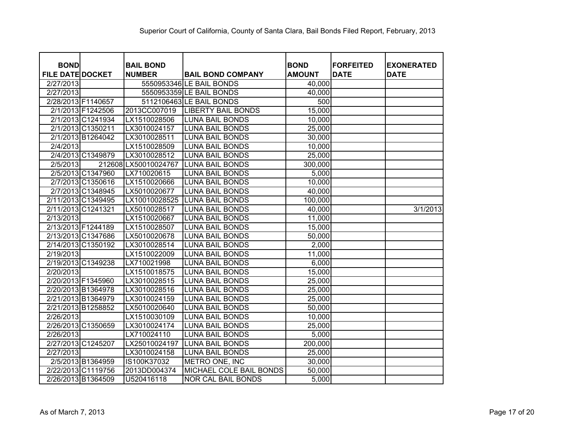| <b>BOND</b><br><b>FILE DATE DOCKET</b> |                    | <b>BAIL BOND</b><br><b>NUMBER</b> | <b>BAIL BOND COMPANY</b>  | <b>BOND</b><br><b>AMOUNT</b> | <b>FORFEITED</b><br><b>DATE</b> | <b>EXONERATED</b><br><b>DATE</b> |
|----------------------------------------|--------------------|-----------------------------------|---------------------------|------------------------------|---------------------------------|----------------------------------|
| 2/27/2013                              |                    |                                   | 5550953346 LE BAIL BONDS  | 40,000                       |                                 |                                  |
| 2/27/2013                              |                    |                                   | 5550953359 LE BAIL BONDS  | 40,000                       |                                 |                                  |
|                                        | 2/28/2013 F1140657 |                                   | 5112106463 LE BAIL BONDS  | 500                          |                                 |                                  |
|                                        | 2/1/2013 F1242506  | 2013CC007019                      | <b>LIBERTY BAIL BONDS</b> | 15,000                       |                                 |                                  |
|                                        | 2/1/2013 C1241934  | LX1510028506                      | <b>LUNA BAIL BONDS</b>    | 10,000                       |                                 |                                  |
|                                        | 2/1/2013 C1350211  | LX3010024157                      | <b>LUNA BAIL BONDS</b>    | 25,000                       |                                 |                                  |
|                                        | 2/1/2013 B1264042  | LX3010028511                      | <b>LUNA BAIL BONDS</b>    | 30,000                       |                                 |                                  |
| 2/4/2013                               |                    | LX1510028509                      | <b>LUNA BAIL BONDS</b>    | 10,000                       |                                 |                                  |
|                                        | 2/4/2013 C1349879  | LX3010028512                      | <b>LUNA BAIL BONDS</b>    | 25,000                       |                                 |                                  |
| 2/5/2013                               |                    | 212608 LX50010024767              | <b>LUNA BAIL BONDS</b>    | 300,000                      |                                 |                                  |
|                                        | 2/5/2013 C1347960  | LX710020615                       | <b>LUNA BAIL BONDS</b>    | 5,000                        |                                 |                                  |
|                                        | 2/7/2013 C1350616  | LX1510020666                      | <b>LUNA BAIL BONDS</b>    | 10,000                       |                                 |                                  |
|                                        | 2/7/2013 C1348945  | LX5010020677                      | <b>LUNA BAIL BONDS</b>    | 40,000                       |                                 |                                  |
|                                        | 2/11/2013 C1349495 | LX10010028525                     | <b>LUNA BAIL BONDS</b>    | 100,000                      |                                 |                                  |
|                                        | 2/11/2013 C1241321 | LX5010028517                      | <b>LUNA BAIL BONDS</b>    | 40,000                       |                                 | 3/1/2013                         |
| 2/13/2013                              |                    | LX1510020667                      | <b>LUNA BAIL BONDS</b>    | 11,000                       |                                 |                                  |
| 2/13/2013 F1244189                     |                    | LX1510028507                      | <b>LUNA BAIL BONDS</b>    | 15,000                       |                                 |                                  |
|                                        | 2/13/2013 C1347686 | LX5010020678                      | <b>LUNA BAIL BONDS</b>    | 50,000                       |                                 |                                  |
|                                        | 2/14/2013 C1350192 | LX3010028514                      | <b>LUNA BAIL BONDS</b>    | 2,000                        |                                 |                                  |
| 2/19/2013                              |                    | LX1510022009                      | <b>LUNA BAIL BONDS</b>    | 11,000                       |                                 |                                  |
|                                        | 2/19/2013 C1349238 | LX710021998                       | <b>LUNA BAIL BONDS</b>    | 6,000                        |                                 |                                  |
| 2/20/2013                              |                    | LX1510018575                      | <b>LUNA BAIL BONDS</b>    | 15,000                       |                                 |                                  |
| 2/20/2013 F1345960                     |                    | LX3010028515                      | <b>LUNA BAIL BONDS</b>    | 25,000                       |                                 |                                  |
|                                        | 2/20/2013 B1364978 | LX3010028516                      | <b>LUNA BAIL BONDS</b>    | 25,000                       |                                 |                                  |
|                                        | 2/21/2013 B1364979 | LX3010024159                      | <b>LUNA BAIL BONDS</b>    | 25,000                       |                                 |                                  |
|                                        | 2/21/2013 B1258852 | LX5010020640                      | <b>LUNA BAIL BONDS</b>    | 50,000                       |                                 |                                  |
| 2/26/2013                              |                    | LX1510030109                      | <b>LUNA BAIL BONDS</b>    | 10,000                       |                                 |                                  |
|                                        | 2/26/2013 C1350659 | LX3010024174                      | <b>LUNA BAIL BONDS</b>    | 25,000                       |                                 |                                  |
| 2/26/2013                              |                    | LX710024110                       | <b>LUNA BAIL BONDS</b>    | 5,000                        |                                 |                                  |
|                                        | 2/27/2013 C1245207 | LX25010024197                     | <b>LUNA BAIL BONDS</b>    | 200,000                      |                                 |                                  |
| 2/27/2013                              |                    | LX3010024158                      | <b>LUNA BAIL BONDS</b>    | 25,000                       |                                 |                                  |
|                                        | 2/5/2013 B1364959  | IS100K37032                       | METRO ONE, INC            | 30,000                       |                                 |                                  |
|                                        | 2/22/2013 C1119756 | 2013DD004374                      | MICHAEL COLE BAIL BONDS   | 50,000                       |                                 |                                  |
|                                        | 2/26/2013 B1364509 | U520416118                        | <b>NOR CAL BAIL BONDS</b> | 5,000                        |                                 |                                  |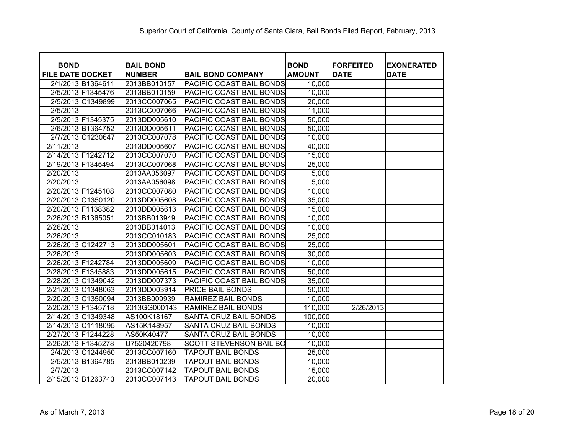| <b>BOND</b><br><b>FILE DATE DOCKET</b> |                   | <b>BAIL BOND</b><br><b>NUMBER</b> | <b>BAIL BOND COMPANY</b>        | <b>BOND</b><br><b>AMOUNT</b> | <b>FORFEITED</b><br><b>DATE</b> | <b>EXONERATED</b><br><b>DATE</b> |
|----------------------------------------|-------------------|-----------------------------------|---------------------------------|------------------------------|---------------------------------|----------------------------------|
|                                        | 2/1/2013 B1364611 | 2013BB010157                      | PACIFIC COAST BAIL BONDS        | 10,000                       |                                 |                                  |
|                                        | 2/5/2013 F1345476 | 2013BB010159                      | <b>PACIFIC COAST BAIL BONDS</b> | 10,000                       |                                 |                                  |
|                                        | 2/5/2013 C1349899 | 2013CC007065                      | PACIFIC COAST BAIL BONDS        | 20,000                       |                                 |                                  |
| 2/5/2013                               |                   | 2013CC007066                      | PACIFIC COAST BAIL BONDS        | 11,000                       |                                 |                                  |
|                                        | 2/5/2013 F1345375 | 2013DD005610                      | PACIFIC COAST BAIL BONDS        | 50,000                       |                                 |                                  |
|                                        | 2/6/2013 B1364752 | 2013DD005611                      | PACIFIC COAST BAIL BONDS        | 50,000                       |                                 |                                  |
|                                        | 2/7/2013 C1230647 | 2013CC007078                      | <b>PACIFIC COAST BAIL BONDS</b> | 10,000                       |                                 |                                  |
| 2/11/2013                              |                   | 2013DD005607                      | <b>PACIFIC COAST BAIL BONDS</b> | 40,000                       |                                 |                                  |
| 2/14/2013 F1242712                     |                   | 2013CC007070                      |                                 | 15,000                       |                                 |                                  |
| 2/19/2013 F1345494                     |                   |                                   | <b>PACIFIC COAST BAIL BONDS</b> |                              |                                 |                                  |
|                                        |                   | 2013CC007068                      | <b>PACIFIC COAST BAIL BONDS</b> | 25,000                       |                                 |                                  |
| 2/20/2013                              |                   | 2013AA056097                      | PACIFIC COAST BAIL BONDS        | 5,000                        |                                 |                                  |
| 2/20/2013                              |                   | 2013AA056098                      | <b>PACIFIC COAST BAIL BONDS</b> | 5,000                        |                                 |                                  |
| 2/20/2013 F1245108                     |                   | 2013CC007080                      | <b>PACIFIC COAST BAIL BONDS</b> | 10,000                       |                                 |                                  |
| 2/20/2013 C1350120                     |                   | 2013DD005608                      | <b>PACIFIC COAST BAIL BONDS</b> | 35,000                       |                                 |                                  |
| 2/20/2013 F1138382                     |                   | 2013DD005613                      | <b>PACIFIC COAST BAIL BONDS</b> | 15,000                       |                                 |                                  |
| 2/26/2013 B1365051                     |                   | 2013BB013949                      | PACIFIC COAST BAIL BONDS        | 10,000                       |                                 |                                  |
| 2/26/2013                              |                   | 2013BB014013                      | PACIFIC COAST BAIL BONDS        | 10,000                       |                                 |                                  |
| 2/26/2013                              |                   | 2013CC010183                      | PACIFIC COAST BAIL BONDS        | 25,000                       |                                 |                                  |
| 2/26/2013 C1242713                     |                   | 2013DD005601                      | PACIFIC COAST BAIL BONDS        | 25,000                       |                                 |                                  |
| 2/26/2013                              |                   | 2013DD005603                      | PACIFIC COAST BAIL BONDS        | 30,000                       |                                 |                                  |
| 2/26/2013 F1242784                     |                   | 2013DD005609                      | PACIFIC COAST BAIL BONDS        | 10,000                       |                                 |                                  |
| 2/28/2013 F1345883                     |                   | 2013DD005615                      | PACIFIC COAST BAIL BONDS        | 50,000                       |                                 |                                  |
| 2/28/2013 C1349042                     |                   | 2013DD007373                      | PACIFIC COAST BAIL BONDS        | 35,000                       |                                 |                                  |
| 2/21/2013 C1348063                     |                   | 2013DD003914                      | <b>PRICE BAIL BONDS</b>         | 50,000                       |                                 |                                  |
| 2/20/2013 C1350094                     |                   | 2013BB009939                      | RAMIREZ BAIL BONDS              | 10,000                       |                                 |                                  |
| 2/20/2013 F1345718                     |                   | 2013GG000143                      | RAMIREZ BAIL BONDS              | 110,000                      | 2/26/2013                       |                                  |
| 2/14/2013 C1349348                     |                   | AS100K18167                       | SANTA CRUZ BAIL BONDS           | 100,000                      |                                 |                                  |
| 2/14/2013 C1118095                     |                   | AS15K148957                       | SANTA CRUZ BAIL BONDS           | 10,000                       |                                 |                                  |
| 2/27/2013 F1244228                     |                   | AS50K40477                        | SANTA CRUZ BAIL BONDS           | 10,000                       |                                 |                                  |
| 2/26/2013 F1345278                     |                   | U7520420798                       | <b>SCOTT STEVENSON BAIL BO</b>  | 10,000                       |                                 |                                  |
|                                        | 2/4/2013 C1244950 | 2013CC007160                      | <b>TAPOUT BAIL BONDS</b>        | 25,000                       |                                 |                                  |
|                                        | 2/5/2013 B1364785 | 2013BB010239                      | <b>TAPOUT BAIL BONDS</b>        | 10,000                       |                                 |                                  |
| 2/7/2013                               |                   | 2013CC007142                      | <b>TAPOUT BAIL BONDS</b>        | 15,000                       |                                 |                                  |
| 2/15/2013 B1263743                     |                   | 2013CC007143                      | <b>TAPOUT BAIL BONDS</b>        | 20,000                       |                                 |                                  |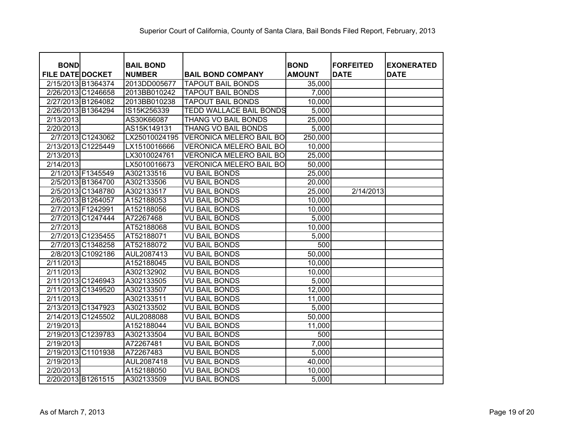| <b>BOND</b>             |                    |                                   |                                |                              | <b>FORFEITED</b> |                                  |
|-------------------------|--------------------|-----------------------------------|--------------------------------|------------------------------|------------------|----------------------------------|
| <b>FILE DATE DOCKET</b> |                    | <b>BAIL BOND</b><br><b>NUMBER</b> | <b>BAIL BOND COMPANY</b>       | <b>BOND</b><br><b>AMOUNT</b> | <b>DATE</b>      | <b>EXONERATED</b><br><b>DATE</b> |
| 2/15/2013 B1364374      |                    | 2013DD005677                      | <b>TAPOUT BAIL BONDS</b>       | 35,000                       |                  |                                  |
| 2/26/2013 C1246658      |                    | 2013BB010242                      | <b>TAPOUT BAIL BONDS</b>       | 7,000                        |                  |                                  |
| 2/27/2013 B1264082      |                    | 2013BB010238                      | <b>TAPOUT BAIL BONDS</b>       | 10,000                       |                  |                                  |
| 2/26/2013 B1364294      |                    | IS15K256339                       | <b>TEDD WALLACE BAIL BONDS</b> | 5,000                        |                  |                                  |
| 2/13/2013               |                    | AS30K66087                        | <b>THANG VO BAIL BONDS</b>     | 25,000                       |                  |                                  |
| 2/20/2013               |                    | AS15K149131                       | <b>THANG VO BAIL BONDS</b>     | 5,000                        |                  |                                  |
|                         | 2/7/2013 C1243062  | LX25010024195                     | <b>VERONICA MELERO BAIL BO</b> | 250,000                      |                  |                                  |
|                         | 2/13/2013 C1225449 | LX1510016666                      | <b>VERONICA MELERO BAIL BO</b> | 10,000                       |                  |                                  |
| 2/13/2013               |                    | LX3010024761                      | <b>VERONICA MELERO BAIL BO</b> | 25,000                       |                  |                                  |
| 2/14/2013               |                    | LX5010016673                      | <b>VERONICA MELERO BAIL BO</b> | 50,000                       |                  |                                  |
|                         | 2/1/2013 F1345549  | A302133516                        | <b>VU BAIL BONDS</b>           | 25,000                       |                  |                                  |
|                         | 2/5/2013 B1364700  | A302133506                        | <b>VU BAIL BONDS</b>           | 20,000                       |                  |                                  |
|                         | 2/5/2013 C1348780  | A302133517                        | <b>VU BAIL BONDS</b>           | 25,000                       | 2/14/2013        |                                  |
|                         | 2/6/2013 B1264057  | A152188053                        | <b>VU BAIL BONDS</b>           | 10,000                       |                  |                                  |
|                         | 2/7/2013 F1242991  | A152188056                        | <b>VU BAIL BONDS</b>           | 10,000                       |                  |                                  |
|                         | 2/7/2013 C1247444  | A72267468                         | <b>VU BAIL BONDS</b>           | 5,000                        |                  |                                  |
| 2/7/2013                |                    | AT52188068                        | <b>VU BAIL BONDS</b>           | 10,000                       |                  |                                  |
|                         | 2/7/2013 C1235455  | AT52188071                        | VU BAIL BONDS                  | 5,000                        |                  |                                  |
|                         | 2/7/2013 C1348258  | AT52188072                        | VU BAIL BONDS                  | 500                          |                  |                                  |
|                         | 2/8/2013 C1092186  | AUL2087413                        | VU BAIL BONDS                  | 50,000                       |                  |                                  |
| 2/11/2013               |                    | A152188045                        | <b>VU BAIL BONDS</b>           | 10,000                       |                  |                                  |
| 2/11/2013               |                    | A302132902                        | <b>VU BAIL BONDS</b>           | 10,000                       |                  |                                  |
| 2/11/2013 C1246943      |                    | A302133505                        | <b>VU BAIL BONDS</b>           | 5,000                        |                  |                                  |
| 2/11/2013 C1349520      |                    | A302133507                        | <b>VU BAIL BONDS</b>           | 12,000                       |                  |                                  |
| 2/11/2013               |                    | A302133511                        | <b>VU BAIL BONDS</b>           | 11,000                       |                  |                                  |
| 2/13/2013 C1347923      |                    | A302133502                        | <b>VU BAIL BONDS</b>           | 5,000                        |                  |                                  |
| 2/14/2013 C1245502      |                    | AUL2088088                        | <b>VU BAIL BONDS</b>           | 50,000                       |                  |                                  |
| 2/19/2013               |                    | A152188044                        | <b>VU BAIL BONDS</b>           | 11,000                       |                  |                                  |
| 2/19/2013 C1239783      |                    | A302133504                        | <b>VU BAIL BONDS</b>           | 500                          |                  |                                  |
| 2/19/2013               |                    | A72267481                         | <b>VU BAIL BONDS</b>           | 7,000                        |                  |                                  |
| 2/19/2013 C1101938      |                    | A72267483                         | <b>VU BAIL BONDS</b>           | 5,000                        |                  |                                  |
| 2/19/2013               |                    | AUL2087418                        | <b>VU BAIL BONDS</b>           | 40,000                       |                  |                                  |
| 2/20/2013               |                    | A152188050                        | <b>VU BAIL BONDS</b>           | 10,000                       |                  |                                  |
| 2/20/2013 B1261515      |                    | A302133509                        | <b>VU BAIL BONDS</b>           | 5,000                        |                  |                                  |